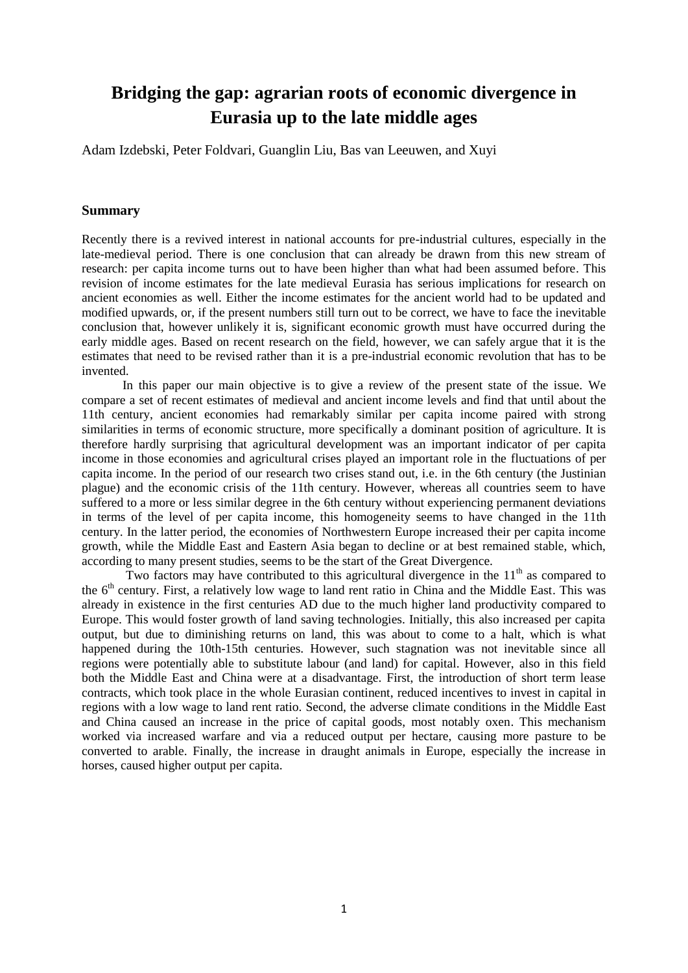# **Bridging the gap: agrarian roots of economic divergence in Eurasia up to the late middle ages**

Adam Izdebski, Peter Foldvari, Guanglin Liu, Bas van Leeuwen, and Xuyi

#### **Summary**

Recently there is a revived interest in national accounts for pre-industrial cultures, especially in the late-medieval period. There is one conclusion that can already be drawn from this new stream of research: per capita income turns out to have been higher than what had been assumed before. This revision of income estimates for the late medieval Eurasia has serious implications for research on ancient economies as well. Either the income estimates for the ancient world had to be updated and modified upwards, or, if the present numbers still turn out to be correct, we have to face the inevitable conclusion that, however unlikely it is, significant economic growth must have occurred during the early middle ages. Based on recent research on the field, however, we can safely argue that it is the estimates that need to be revised rather than it is a pre-industrial economic revolution that has to be invented.

In this paper our main objective is to give a review of the present state of the issue. We compare a set of recent estimates of medieval and ancient income levels and find that until about the 11th century, ancient economies had remarkably similar per capita income paired with strong similarities in terms of economic structure, more specifically a dominant position of agriculture. It is therefore hardly surprising that agricultural development was an important indicator of per capita income in those economies and agricultural crises played an important role in the fluctuations of per capita income. In the period of our research two crises stand out, i.e. in the 6th century (the Justinian plague) and the economic crisis of the 11th century. However, whereas all countries seem to have suffered to a more or less similar degree in the 6th century without experiencing permanent deviations in terms of the level of per capita income, this homogeneity seems to have changed in the 11th century. In the latter period, the economies of Northwestern Europe increased their per capita income growth, while the Middle East and Eastern Asia began to decline or at best remained stable, which, according to many present studies, seems to be the start of the Great Divergence.

Two factors may have contributed to this agricultural divergence in the  $11<sup>th</sup>$  as compared to the 6<sup>th</sup> century. First, a relatively low wage to land rent ratio in China and the Middle East. This was already in existence in the first centuries AD due to the much higher land productivity compared to Europe. This would foster growth of land saving technologies. Initially, this also increased per capita output, but due to diminishing returns on land, this was about to come to a halt, which is what happened during the 10th-15th centuries. However, such stagnation was not inevitable since all regions were potentially able to substitute labour (and land) for capital. However, also in this field both the Middle East and China were at a disadvantage. First, the introduction of short term lease contracts, which took place in the whole Eurasian continent, reduced incentives to invest in capital in regions with a low wage to land rent ratio. Second, the adverse climate conditions in the Middle East and China caused an increase in the price of capital goods, most notably oxen. This mechanism worked via increased warfare and via a reduced output per hectare, causing more pasture to be converted to arable. Finally, the increase in draught animals in Europe, especially the increase in horses, caused higher output per capita.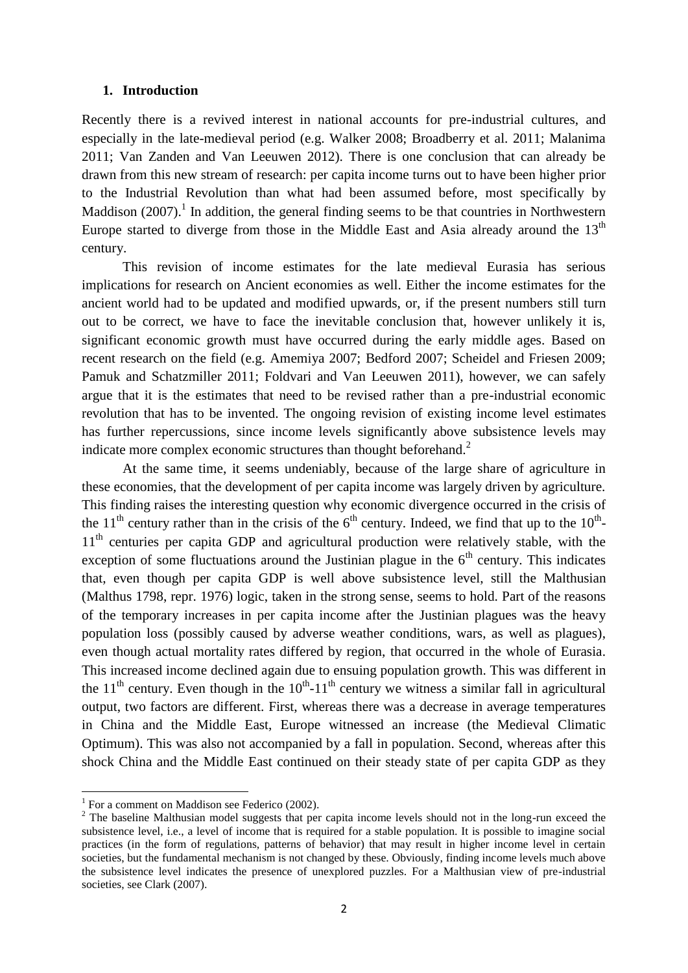### **1. Introduction**

Recently there is a revived interest in national accounts for pre-industrial cultures, and especially in the late-medieval period (e.g. Walker 2008; Broadberry et al. 2011; Malanima 2011; Van Zanden and Van Leeuwen 2012). There is one conclusion that can already be drawn from this new stream of research: per capita income turns out to have been higher prior to the Industrial Revolution than what had been assumed before, most specifically by Maddison  $(2007)$ .<sup>1</sup> In addition, the general finding seems to be that countries in Northwestern Europe started to diverge from those in the Middle East and Asia already around the  $13<sup>th</sup>$ century.

This revision of income estimates for the late medieval Eurasia has serious implications for research on Ancient economies as well. Either the income estimates for the ancient world had to be updated and modified upwards, or, if the present numbers still turn out to be correct, we have to face the inevitable conclusion that, however unlikely it is, significant economic growth must have occurred during the early middle ages. Based on recent research on the field (e.g. Amemiya 2007; Bedford 2007; Scheidel and Friesen 2009; Pamuk and Schatzmiller 2011; Foldvari and Van Leeuwen 2011), however, we can safely argue that it is the estimates that need to be revised rather than a pre-industrial economic revolution that has to be invented. The ongoing revision of existing income level estimates has further repercussions, since income levels significantly above subsistence levels may indicate more complex economic structures than thought beforehand. $2$ 

At the same time, it seems undeniably, because of the large share of agriculture in these economies, that the development of per capita income was largely driven by agriculture. This finding raises the interesting question why economic divergence occurred in the crisis of the 11<sup>th</sup> century rather than in the crisis of the  $6<sup>th</sup>$  century. Indeed, we find that up to the 10<sup>th</sup>-11<sup>th</sup> centuries per capita GDP and agricultural production were relatively stable, with the exception of some fluctuations around the Justinian plague in the  $6<sup>th</sup>$  century. This indicates that, even though per capita GDP is well above subsistence level, still the Malthusian (Malthus 1798, repr. 1976) logic, taken in the strong sense, seems to hold. Part of the reasons of the temporary increases in per capita income after the Justinian plagues was the heavy population loss (possibly caused by adverse weather conditions, wars, as well as plagues), even though actual mortality rates differed by region, that occurred in the whole of Eurasia. This increased income declined again due to ensuing population growth. This was different in the 11<sup>th</sup> century. Even though in the 10<sup>th</sup>-11<sup>th</sup> century we witness a similar fall in agricultural output, two factors are different. First, whereas there was a decrease in average temperatures in China and the Middle East, Europe witnessed an increase (the Medieval Climatic Optimum). This was also not accompanied by a fall in population. Second, whereas after this shock China and the Middle East continued on their steady state of per capita GDP as they

 1 For a comment on Maddison see Federico (2002).

<sup>&</sup>lt;sup>2</sup> The baseline Malthusian model suggests that per capita income levels should not in the long-run exceed the subsistence level, i.e., a level of income that is required for a stable population. It is possible to imagine social practices (in the form of regulations, patterns of behavior) that may result in higher income level in certain societies, but the fundamental mechanism is not changed by these. Obviously, finding income levels much above the subsistence level indicates the presence of unexplored puzzles. For a Malthusian view of pre-industrial societies, see Clark (2007).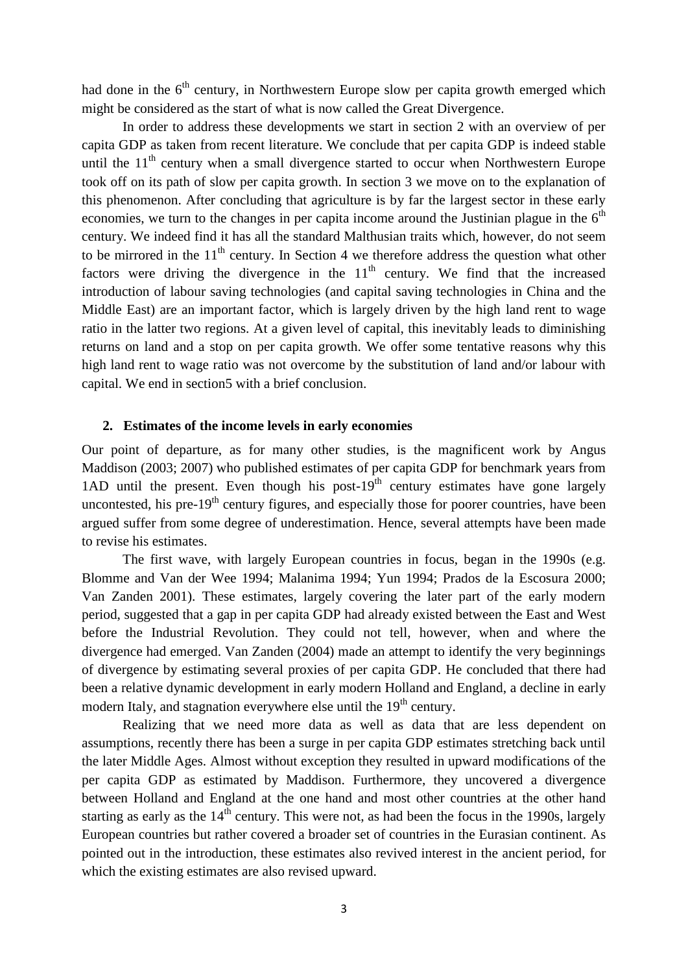had done in the  $6<sup>th</sup>$  century, in Northwestern Europe slow per capita growth emerged which might be considered as the start of what is now called the Great Divergence.

In order to address these developments we start in section 2 with an overview of per capita GDP as taken from recent literature. We conclude that per capita GDP is indeed stable until the  $11<sup>th</sup>$  century when a small divergence started to occur when Northwestern Europe took off on its path of slow per capita growth. In section 3 we move on to the explanation of this phenomenon. After concluding that agriculture is by far the largest sector in these early economies, we turn to the changes in per capita income around the Justinian plague in the  $6<sup>th</sup>$ century. We indeed find it has all the standard Malthusian traits which, however, do not seem to be mirrored in the  $11<sup>th</sup>$  century. In Section 4 we therefore address the question what other factors were driving the divergence in the  $11<sup>th</sup>$  century. We find that the increased introduction of labour saving technologies (and capital saving technologies in China and the Middle East) are an important factor, which is largely driven by the high land rent to wage ratio in the latter two regions. At a given level of capital, this inevitably leads to diminishing returns on land and a stop on per capita growth. We offer some tentative reasons why this high land rent to wage ratio was not overcome by the substitution of land and/or labour with capital. We end in section5 with a brief conclusion.

### **2. Estimates of the income levels in early economies**

Our point of departure, as for many other studies, is the magnificent work by Angus Maddison (2003; 2007) who published estimates of per capita GDP for benchmark years from 1AD until the present. Even though his post- $19<sup>th</sup>$  century estimates have gone largely uncontested, his pre- $19<sup>th</sup>$  century figures, and especially those for poorer countries, have been argued suffer from some degree of underestimation. Hence, several attempts have been made to revise his estimates.

The first wave, with largely European countries in focus, began in the 1990s (e.g. Blomme and Van der Wee 1994; Malanima 1994; Yun 1994; Prados de la Escosura 2000; Van Zanden 2001). These estimates, largely covering the later part of the early modern period, suggested that a gap in per capita GDP had already existed between the East and West before the Industrial Revolution. They could not tell, however, when and where the divergence had emerged. Van Zanden (2004) made an attempt to identify the very beginnings of divergence by estimating several proxies of per capita GDP. He concluded that there had been a relative dynamic development in early modern Holland and England, a decline in early modern Italy, and stagnation everywhere else until the 19<sup>th</sup> century.

Realizing that we need more data as well as data that are less dependent on assumptions, recently there has been a surge in per capita GDP estimates stretching back until the later Middle Ages. Almost without exception they resulted in upward modifications of the per capita GDP as estimated by Maddison. Furthermore, they uncovered a divergence between Holland and England at the one hand and most other countries at the other hand starting as early as the 14<sup>th</sup> century. This were not, as had been the focus in the 1990s, largely European countries but rather covered a broader set of countries in the Eurasian continent. As pointed out in the introduction, these estimates also revived interest in the ancient period, for which the existing estimates are also revised upward.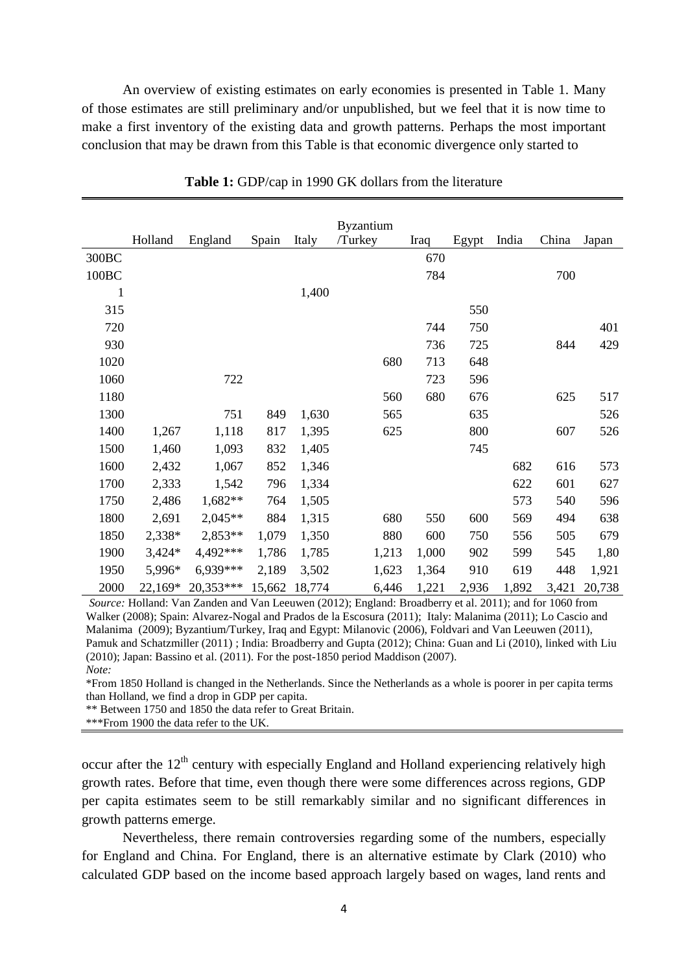An overview of existing estimates on early economies is presented in Table 1. Many of those estimates are still preliminary and/or unpublished, but we feel that it is now time to make a first inventory of the existing data and growth patterns. Perhaps the most important conclusion that may be drawn from this Table is that economic divergence only started to

|                   | Holland  | England   | Spain  | Italy  | <b>Byzantium</b><br>/Turkey | Iraq  | Egypt | India | China | Japan  |
|-------------------|----------|-----------|--------|--------|-----------------------------|-------|-------|-------|-------|--------|
| 300BC             |          |           |        |        |                             | 670   |       |       |       |        |
|                   |          |           |        |        |                             |       |       |       |       |        |
| 100 <sub>BC</sub> |          |           |        |        |                             | 784   |       |       | 700   |        |
| 1                 |          |           |        | 1,400  |                             |       |       |       |       |        |
| 315               |          |           |        |        |                             |       | 550   |       |       |        |
| 720               |          |           |        |        |                             | 744   | 750   |       |       | 401    |
| 930               |          |           |        |        |                             | 736   | 725   |       | 844   | 429    |
| 1020              |          |           |        |        | 680                         | 713   | 648   |       |       |        |
| 1060              |          | 722       |        |        |                             | 723   | 596   |       |       |        |
| 1180              |          |           |        |        | 560                         | 680   | 676   |       | 625   | 517    |
| 1300              |          | 751       | 849    | 1,630  | 565                         |       | 635   |       |       | 526    |
| 1400              | 1,267    | 1,118     | 817    | 1,395  | 625                         |       | 800   |       | 607   | 526    |
| 1500              | 1,460    | 1,093     | 832    | 1,405  |                             |       | 745   |       |       |        |
| 1600              | 2,432    | 1,067     | 852    | 1,346  |                             |       |       | 682   | 616   | 573    |
| 1700              | 2,333    | 1,542     | 796    | 1,334  |                             |       |       | 622   | 601   | 627    |
| 1750              | 2,486    | 1,682**   | 764    | 1,505  |                             |       |       | 573   | 540   | 596    |
| 1800              | 2,691    | $2,045**$ | 884    | 1,315  | 680                         | 550   | 600   | 569   | 494   | 638    |
| 1850              | 2,338*   | $2,853**$ | 1,079  | 1,350  | 880                         | 600   | 750   | 556   | 505   | 679    |
| 1900              | $3,424*$ | 4,492***  | 1,786  | 1,785  | 1,213                       | 1,000 | 902   | 599   | 545   | 1,80   |
| 1950              | 5,996*   | 6,939***  | 2,189  | 3,502  | 1,623                       | 1,364 | 910   | 619   | 448   | 1,921  |
| 2000              | 22,169*  | 20,353*** | 15,662 | 18,774 | 6,446                       | 1,221 | 2,936 | 1,892 | 3,421 | 20,738 |

**Table 1:** GDP/cap in 1990 GK dollars from the literature

*Source:* Holland: Van Zanden and Van Leeuwen (2012); England: Broadberry et al. 2011); and for 1060 from Walker (2008); Spain: Alvarez-Nogal and Prados de la Escosura (2011); Italy: Malanima (2011); Lo Cascio and Malanima (2009); Byzantium/Turkey, Iraq and Egypt: Milanovic (2006), Foldvari and Van Leeuwen (2011), Pamuk and Schatzmiller (2011) ; India: Broadberry and Gupta (2012); China: Guan and Li (2010), linked with Liu (2010); Japan: Bassino et al. (2011). For the post-1850 period Maddison (2007). *Note:*

\*From 1850 Holland is changed in the Netherlands. Since the Netherlands as a whole is poorer in per capita terms than Holland, we find a drop in GDP per capita.

\*\* Between 1750 and 1850 the data refer to Great Britain.

\*\*\*From 1900 the data refer to the UK.

occur after the  $12<sup>th</sup>$  century with especially England and Holland experiencing relatively high growth rates. Before that time, even though there were some differences across regions, GDP per capita estimates seem to be still remarkably similar and no significant differences in growth patterns emerge.

Nevertheless, there remain controversies regarding some of the numbers, especially for England and China. For England, there is an alternative estimate by Clark (2010) who calculated GDP based on the income based approach largely based on wages, land rents and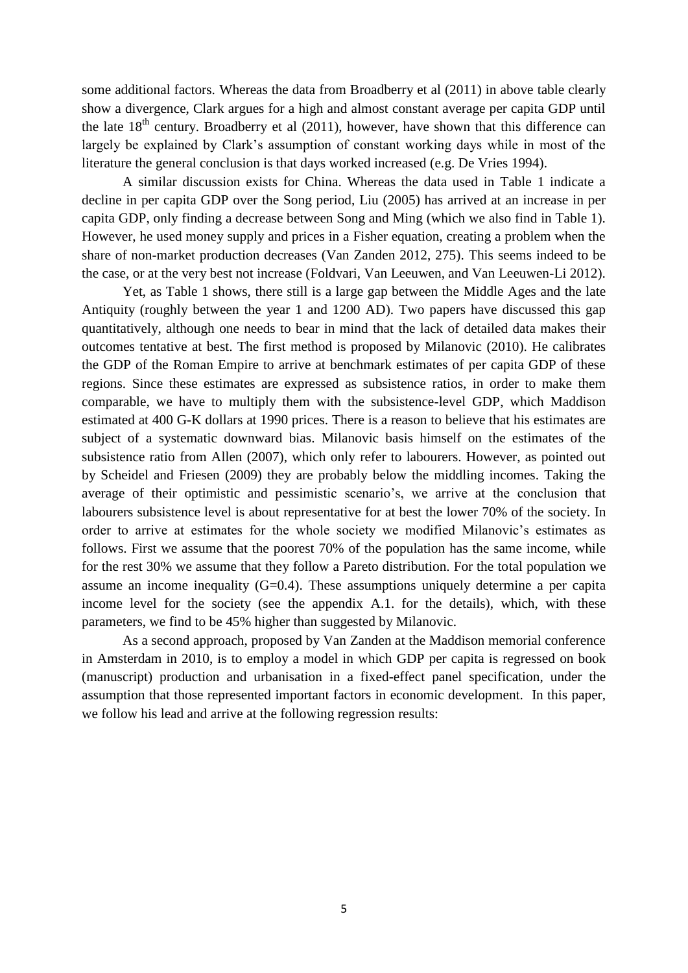some additional factors. Whereas the data from Broadberry et al (2011) in above table clearly show a divergence, Clark argues for a high and almost constant average per capita GDP until the late  $18<sup>th</sup>$  century. Broadberry et al (2011), however, have shown that this difference can largely be explained by Clark's assumption of constant working days while in most of the literature the general conclusion is that days worked increased (e.g. De Vries 1994).

A similar discussion exists for China. Whereas the data used in Table 1 indicate a decline in per capita GDP over the Song period, Liu (2005) has arrived at an increase in per capita GDP, only finding a decrease between Song and Ming (which we also find in Table 1). However, he used money supply and prices in a Fisher equation, creating a problem when the share of non-market production decreases (Van Zanden 2012, 275). This seems indeed to be the case, or at the very best not increase (Foldvari, Van Leeuwen, and Van Leeuwen-Li 2012).

Yet, as Table 1 shows, there still is a large gap between the Middle Ages and the late Antiquity (roughly between the year 1 and 1200 AD). Two papers have discussed this gap quantitatively, although one needs to bear in mind that the lack of detailed data makes their outcomes tentative at best. The first method is proposed by Milanovic (2010). He calibrates the GDP of the Roman Empire to arrive at benchmark estimates of per capita GDP of these regions. Since these estimates are expressed as subsistence ratios, in order to make them comparable, we have to multiply them with the subsistence-level GDP, which Maddison estimated at 400 G-K dollars at 1990 prices. There is a reason to believe that his estimates are subject of a systematic downward bias. Milanovic basis himself on the estimates of the subsistence ratio from Allen (2007), which only refer to labourers. However, as pointed out by Scheidel and Friesen (2009) they are probably below the middling incomes. Taking the average of their optimistic and pessimistic scenario's, we arrive at the conclusion that labourers subsistence level is about representative for at best the lower 70% of the society. In order to arrive at estimates for the whole society we modified Milanovic's estimates as follows. First we assume that the poorest 70% of the population has the same income, while for the rest 30% we assume that they follow a Pareto distribution. For the total population we assume an income inequality (G=0.4). These assumptions uniquely determine a per capita income level for the society (see the appendix A.1. for the details), which, with these parameters, we find to be 45% higher than suggested by Milanovic.

As a second approach, proposed by Van Zanden at the Maddison memorial conference in Amsterdam in 2010, is to employ a model in which GDP per capita is regressed on book (manuscript) production and urbanisation in a fixed-effect panel specification, under the assumption that those represented important factors in economic development. In this paper, we follow his lead and arrive at the following regression results: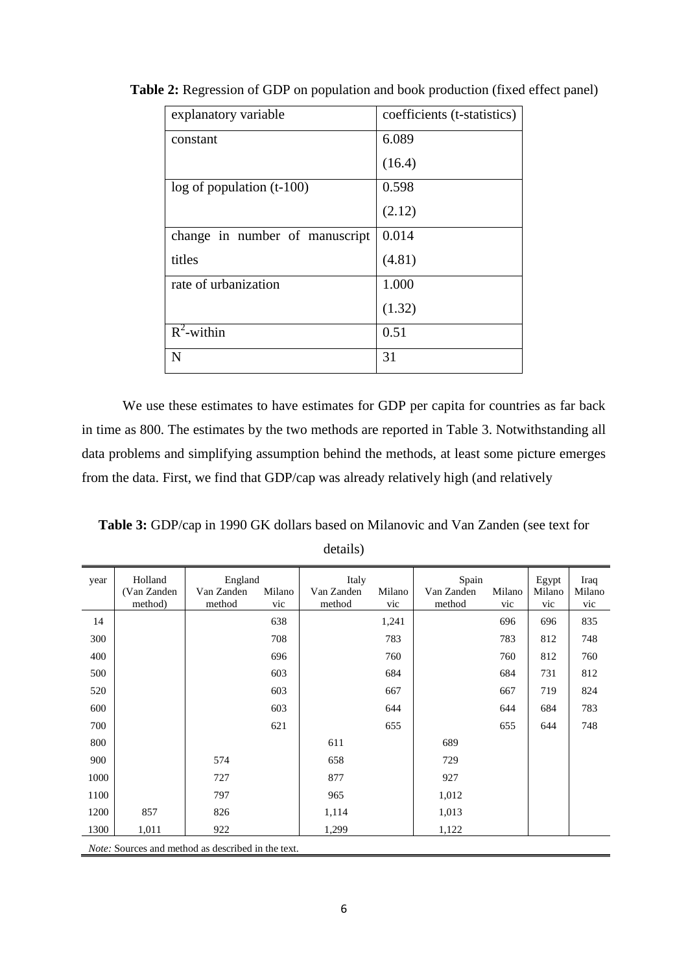| explanatory variable           | coefficients (t-statistics) |
|--------------------------------|-----------------------------|
| constant                       | 6.089                       |
|                                | (16.4)                      |
| $log of population (t-100)$    | 0.598                       |
|                                | (2.12)                      |
| change in number of manuscript | 0.014                       |
| titles                         | (4.81)                      |
| rate of urbanization           | 1.000                       |
|                                | (1.32)                      |
| $\overline{R}^2$ -within       | 0.51                        |
| N                              | 31                          |

**Table 2:** Regression of GDP on population and book production (fixed effect panel)

We use these estimates to have estimates for GDP per capita for countries as far back in time as 800. The estimates by the two methods are reported in Table 3. Notwithstanding all data problems and simplifying assumption behind the methods, at least some picture emerges from the data. First, we find that GDP/cap was already relatively high (and relatively

**Table 3:** GDP/cap in 1990 GK dollars based on Milanovic and Van Zanden (see text for details)

| year | Holland<br>(Van Zanden)<br>method) | England<br>Van Zanden<br>method                           | Milano<br>vic | Italy<br>Van Zanden<br>method | Milano<br>vic | Spain<br>Van Zanden<br>method | Milano<br>vic | Egypt<br>Milano<br>vic | Iraq<br>Milano<br>vic |
|------|------------------------------------|-----------------------------------------------------------|---------------|-------------------------------|---------------|-------------------------------|---------------|------------------------|-----------------------|
| 14   |                                    |                                                           | 638           |                               | 1,241         |                               | 696           | 696                    | 835                   |
| 300  |                                    |                                                           | 708           |                               | 783           |                               | 783           | 812                    | 748                   |
| 400  |                                    |                                                           | 696           |                               | 760           |                               | 760           | 812                    | 760                   |
| 500  |                                    |                                                           | 603           |                               | 684           |                               | 684           | 731                    | 812                   |
| 520  |                                    |                                                           | 603           |                               | 667           |                               | 667           | 719                    | 824                   |
| 600  |                                    |                                                           | 603           |                               | 644           |                               | 644           | 684                    | 783                   |
| 700  |                                    |                                                           | 621           |                               | 655           |                               | 655           | 644                    | 748                   |
| 800  |                                    |                                                           |               | 611                           |               | 689                           |               |                        |                       |
| 900  |                                    | 574                                                       |               | 658                           |               | 729                           |               |                        |                       |
| 1000 |                                    | 727                                                       |               | 877                           |               | 927                           |               |                        |                       |
| 1100 |                                    | 797                                                       |               | 965                           |               | 1,012                         |               |                        |                       |
| 1200 | 857                                | 826                                                       |               | 1,114                         |               | 1,013                         |               |                        |                       |
| 1300 | 1,011                              | 922                                                       |               | 1,299                         |               | 1,122                         |               |                        |                       |
|      |                                    | <i>Note:</i> Sources and method as described in the text. |               |                               |               |                               |               |                        |                       |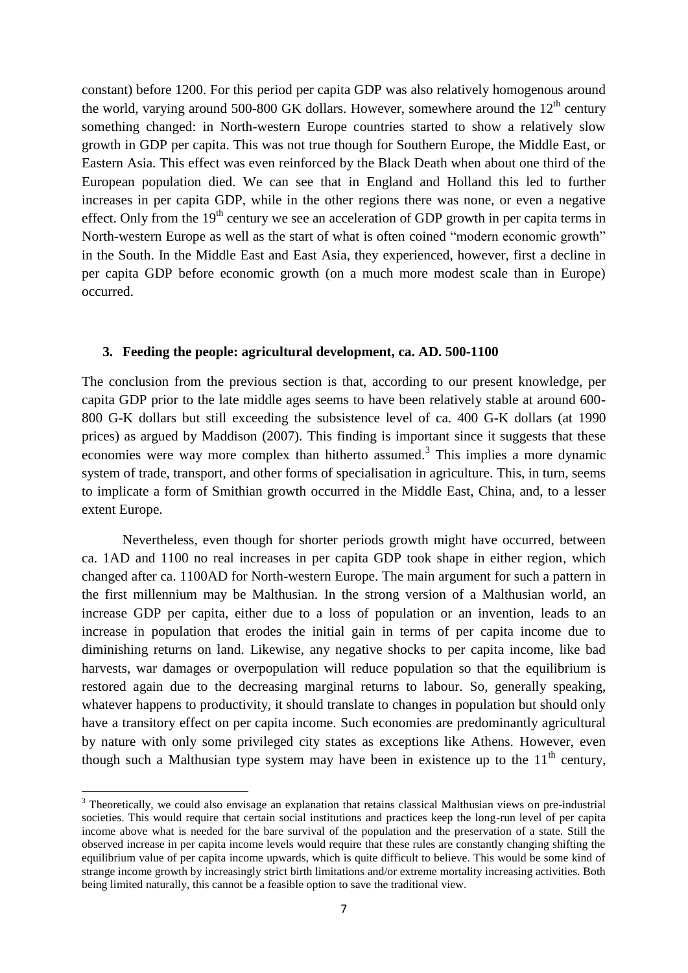constant) before 1200. For this period per capita GDP was also relatively homogenous around the world, varying around 500-800 GK dollars. However, somewhere around the  $12<sup>th</sup>$  century something changed: in North-western Europe countries started to show a relatively slow growth in GDP per capita. This was not true though for Southern Europe, the Middle East, or Eastern Asia. This effect was even reinforced by the Black Death when about one third of the European population died. We can see that in England and Holland this led to further increases in per capita GDP, while in the other regions there was none, or even a negative effect. Only from the  $19<sup>th</sup>$  century we see an acceleration of GDP growth in per capita terms in North-western Europe as well as the start of what is often coined "modern economic growth" in the South. In the Middle East and East Asia, they experienced, however, first a decline in per capita GDP before economic growth (on a much more modest scale than in Europe) occurred.

### **3. Feeding the people: agricultural development, ca. AD. 500-1100**

The conclusion from the previous section is that, according to our present knowledge, per capita GDP prior to the late middle ages seems to have been relatively stable at around 600- 800 G-K dollars but still exceeding the subsistence level of ca. 400 G-K dollars (at 1990 prices) as argued by Maddison (2007). This finding is important since it suggests that these economies were way more complex than hitherto assumed.<sup>3</sup> This implies a more dynamic system of trade, transport, and other forms of specialisation in agriculture. This, in turn, seems to implicate a form of Smithian growth occurred in the Middle East, China, and, to a lesser extent Europe.

Nevertheless, even though for shorter periods growth might have occurred, between ca. 1AD and 1100 no real increases in per capita GDP took shape in either region, which changed after ca. 1100AD for North-western Europe. The main argument for such a pattern in the first millennium may be Malthusian. In the strong version of a Malthusian world, an increase GDP per capita, either due to a loss of population or an invention, leads to an increase in population that erodes the initial gain in terms of per capita income due to diminishing returns on land. Likewise, any negative shocks to per capita income, like bad harvests, war damages or overpopulation will reduce population so that the equilibrium is restored again due to the decreasing marginal returns to labour. So, generally speaking, whatever happens to productivity, it should translate to changes in population but should only have a transitory effect on per capita income. Such economies are predominantly agricultural by nature with only some privileged city states as exceptions like Athens. However, even though such a Malthusian type system may have been in existence up to the  $11<sup>th</sup>$  century,

**.** 

<sup>&</sup>lt;sup>3</sup> Theoretically, we could also envisage an explanation that retains classical Malthusian views on pre-industrial societies. This would require that certain social institutions and practices keep the long-run level of per capita income above what is needed for the bare survival of the population and the preservation of a state. Still the observed increase in per capita income levels would require that these rules are constantly changing shifting the equilibrium value of per capita income upwards, which is quite difficult to believe. This would be some kind of strange income growth by increasingly strict birth limitations and/or extreme mortality increasing activities. Both being limited naturally, this cannot be a feasible option to save the traditional view.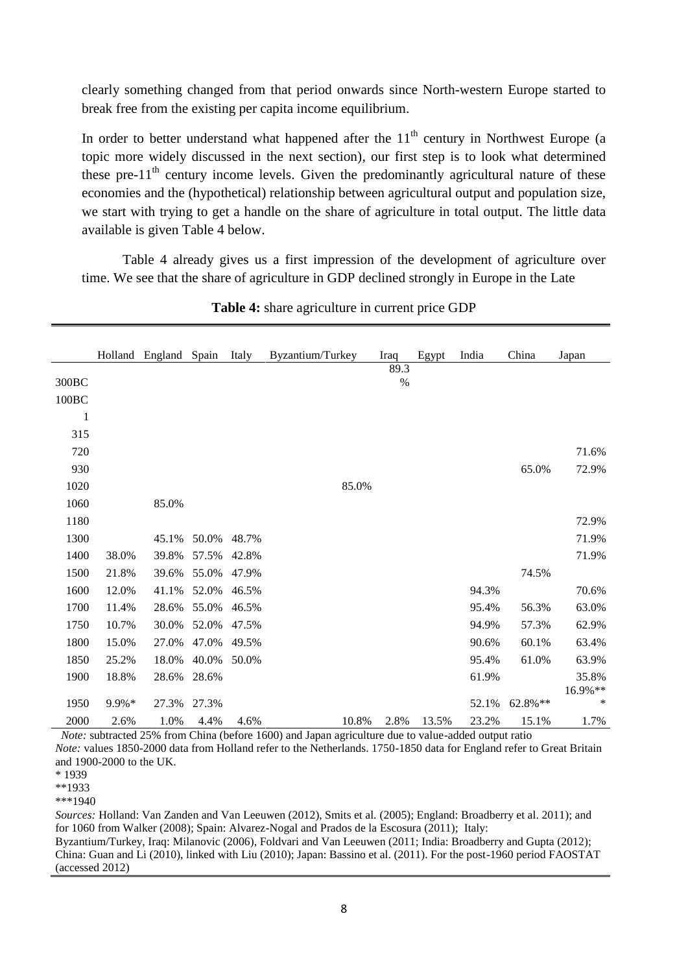clearly something changed from that period onwards since North-western Europe started to break free from the existing per capita income equilibrium.

In order to better understand what happened after the  $11<sup>th</sup>$  century in Northwest Europe (a topic more widely discussed in the next section), our first step is to look what determined these pre- $11<sup>th</sup>$  century income levels. Given the predominantly agricultural nature of these economies and the (hypothetical) relationship between agricultural output and population size, we start with trying to get a handle on the share of agriculture in total output. The little data available is given Table 4 below.

Table 4 already gives us a first impression of the development of agriculture over time. We see that the share of agriculture in GDP declined strongly in Europe in the Late

|              |          | Holland England Spain |       | Italy | Byzantium/Turkey |       | Iraq | Egypt | India | China   | Japan            |
|--------------|----------|-----------------------|-------|-------|------------------|-------|------|-------|-------|---------|------------------|
|              |          |                       |       |       |                  |       | 89.3 |       |       |         |                  |
| 300BC        |          |                       |       |       |                  |       | $\%$ |       |       |         |                  |
| 100BC        |          |                       |       |       |                  |       |      |       |       |         |                  |
| $\mathbf{1}$ |          |                       |       |       |                  |       |      |       |       |         |                  |
| 315          |          |                       |       |       |                  |       |      |       |       |         |                  |
| 720          |          |                       |       |       |                  |       |      |       |       |         | 71.6%            |
| 930          |          |                       |       |       |                  |       |      |       |       | 65.0%   | 72.9%            |
| 1020         |          |                       |       |       |                  | 85.0% |      |       |       |         |                  |
| 1060         |          | 85.0%                 |       |       |                  |       |      |       |       |         |                  |
| 1180         |          |                       |       |       |                  |       |      |       |       |         | 72.9%            |
| 1300         |          | 45.1%                 | 50.0% | 48.7% |                  |       |      |       |       |         | 71.9%            |
| 1400         | 38.0%    | 39.8%                 | 57.5% | 42.8% |                  |       |      |       |       |         | 71.9%            |
| 1500         | 21.8%    | 39.6%                 | 55.0% | 47.9% |                  |       |      |       |       | 74.5%   |                  |
| 1600         | 12.0%    | 41.1%                 | 52.0% | 46.5% |                  |       |      |       | 94.3% |         | 70.6%            |
| 1700         | 11.4%    | 28.6%                 | 55.0% | 46.5% |                  |       |      |       | 95.4% | 56.3%   | 63.0%            |
| 1750         | 10.7%    | 30.0%                 | 52.0% | 47.5% |                  |       |      |       | 94.9% | 57.3%   | 62.9%            |
| 1800         | 15.0%    | 27.0%                 | 47.0% | 49.5% |                  |       |      |       | 90.6% | 60.1%   | 63.4%            |
| 1850         | 25.2%    | 18.0%                 | 40.0% | 50.0% |                  |       |      |       | 95.4% | 61.0%   | 63.9%            |
| 1900         | 18.8%    | 28.6%                 | 28.6% |       |                  |       |      |       | 61.9% |         | 35.8%<br>16.9%** |
| 1950         | $9.9\%*$ | 27.3%                 | 27.3% |       |                  |       |      |       | 52.1% | 62.8%** | ∗                |
| 2000         | 2.6%     | 1.0%                  | 4.4%  | 4.6%  |                  | 10.8% | 2.8% | 13.5% | 23.2% | 15.1%   | 1.7%             |

**Table 4:** share agriculture in current price GDP

*Note:* subtracted 25% from China (before 1600) and Japan agriculture due to value-added output ratio *Note:* values 1850-2000 data from Holland refer to the Netherlands. 1750-1850 data for England refer to Great Britain and 1900-2000 to the UK.

\*\*1933

\*\*\*1940

*Sources:* Holland: Van Zanden and Van Leeuwen (2012), Smits et al. (2005); England: Broadberry et al. 2011); and for 1060 from Walker (2008); Spain: Alvarez-Nogal and Prados de la Escosura (2011); Italy: Byzantium/Turkey, Iraq: Milanovic (2006), Foldvari and Van Leeuwen (2011; India: Broadberry and Gupta (2012); China: Guan and Li (2010), linked with Liu (2010); Japan: Bassino et al. (2011). For the post-1960 period FAOSTAT (accessed 2012)

<sup>\* 1939</sup>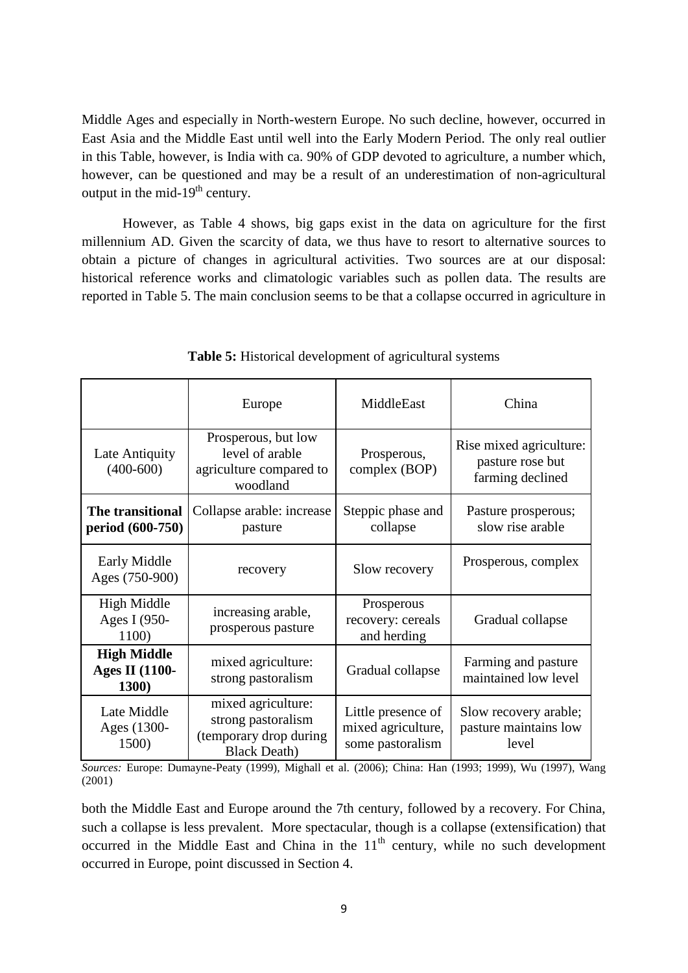Middle Ages and especially in North-western Europe. No such decline, however, occurred in East Asia and the Middle East until well into the Early Modern Period. The only real outlier in this Table, however, is India with ca. 90% of GDP devoted to agriculture, a number which, however, can be questioned and may be a result of an underestimation of non-agricultural output in the mid- $19<sup>th</sup>$  century.

However, as Table 4 shows, big gaps exist in the data on agriculture for the first millennium AD. Given the scarcity of data, we thus have to resort to alternative sources to obtain a picture of changes in agricultural activities. Two sources are at our disposal: historical reference works and climatologic variables such as pollen data. The results are reported in Table 5. The main conclusion seems to be that a collapse occurred in agriculture in

|                                                      | Europe                                                                                      | MiddleEast                                                   | China                                                           |  |
|------------------------------------------------------|---------------------------------------------------------------------------------------------|--------------------------------------------------------------|-----------------------------------------------------------------|--|
| Late Antiquity<br>$(400-600)$                        | Prosperous, but low<br>level of arable<br>agriculture compared to<br>woodland               | Prosperous,<br>complex (BOP)                                 | Rise mixed agriculture:<br>pasture rose but<br>farming declined |  |
| The transitional<br>period (600-750)                 | Collapse arable: increase<br>pasture                                                        |                                                              | Pasture prosperous;<br>slow rise arable                         |  |
| Early Middle<br>Ages (750-900)                       | recovery                                                                                    | Slow recovery                                                | Prosperous, complex                                             |  |
| High Middle<br>Ages I (950-<br>1100)                 | increasing arable,<br>prosperous pasture                                                    | Prosperous<br>recovery: cereals<br>and herding               | Gradual collapse                                                |  |
| <b>High Middle</b><br><b>Ages II (1100-</b><br>1300) | mixed agriculture:<br>strong pastoralism                                                    | Gradual collapse                                             | Farming and pasture<br>maintained low level                     |  |
| Late Middle<br>Ages (1300-<br>1500)                  | mixed agriculture:<br>strong pastoralism<br>(temporary drop during)<br><b>Black Death</b> ) | Little presence of<br>mixed agriculture,<br>some pastoralism | Slow recovery arable;<br>pasture maintains low<br>level         |  |

**Table 5:** Historical development of agricultural systems

*Sources:* Europe: Dumayne-Peaty (1999), Mighall et al. (2006); China: Han (1993; 1999), Wu (1997), Wang (2001)

both the Middle East and Europe around the 7th century, followed by a recovery. For China, such a collapse is less prevalent. More spectacular, though is a collapse (extensification) that occurred in the Middle East and China in the  $11<sup>th</sup>$  century, while no such development occurred in Europe, point discussed in Section 4.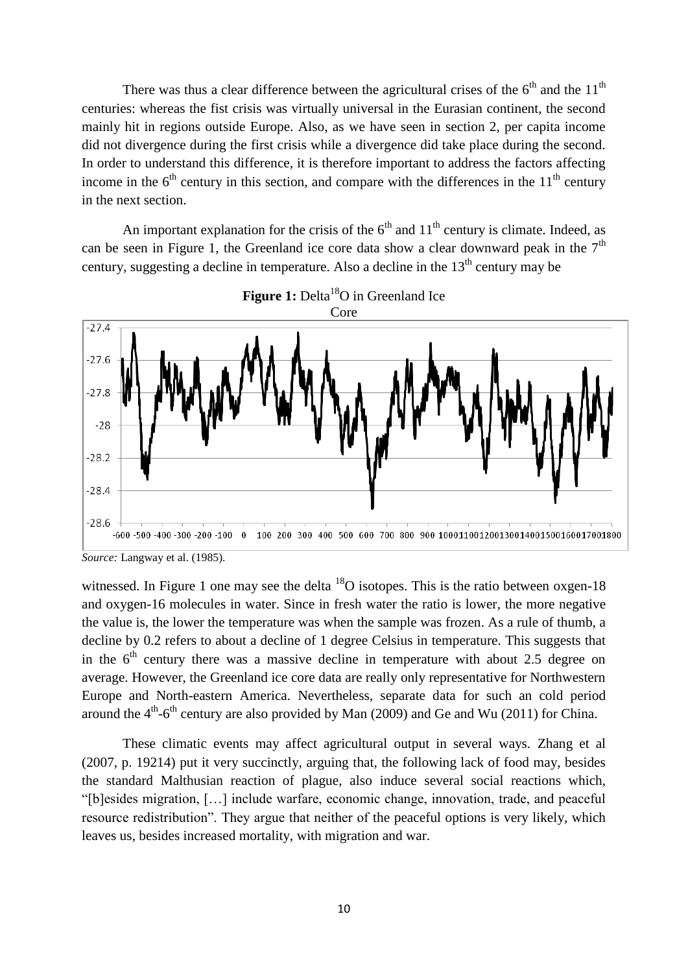There was thus a clear difference between the agricultural crises of the  $6<sup>th</sup>$  and the  $11<sup>th</sup>$ centuries: whereas the fist crisis was virtually universal in the Eurasian continent, the second mainly hit in regions outside Europe. Also, as we have seen in section 2, per capita income did not divergence during the first crisis while a divergence did take place during the second. In order to understand this difference, it is therefore important to address the factors affecting income in the  $6<sup>th</sup>$  century in this section, and compare with the differences in the  $11<sup>th</sup>$  century in the next section.

An important explanation for the crisis of the  $6<sup>th</sup>$  and  $11<sup>th</sup>$  century is climate. Indeed, as can be seen in Figure 1, the Greenland ice core data show a clear downward peak in the  $7<sup>th</sup>$ century, suggesting a decline in temperature. Also a decline in the  $13<sup>th</sup>$  century may be



Figure 1: Delta<sup>18</sup>O in Greenland Ice

witnessed. In Figure 1 one may see the delta  $^{18}$ O isotopes. This is the ratio between oxgen-18 and oxygen-16 molecules in water. Since in fresh water the ratio is lower, the more negative the value is, the lower the temperature was when the sample was frozen. As a rule of thumb, a decline by 0.2 refers to about a decline of 1 degree Celsius in temperature. This suggests that in the  $6<sup>th</sup>$  century there was a massive decline in temperature with about 2.5 degree on average. However, the Greenland ice core data are really only representative for Northwestern Europe and North-eastern America. Nevertheless, separate data for such an cold period around the  $4<sup>th</sup>$ -6<sup>th</sup> century are also provided by Man (2009) and Ge and Wu (2011) for China.

These climatic events may affect agricultural output in several ways. Zhang et al (2007, p. 19214) put it very succinctly, arguing that, the following lack of food may, besides the standard Malthusian reaction of plague, also induce several social reactions which, "[b]esides migration, […] include warfare, economic change, innovation, trade, and peaceful resource redistribution". They argue that neither of the peaceful options is very likely, which leaves us, besides increased mortality, with migration and war.

*Source:* Langway et al. (1985).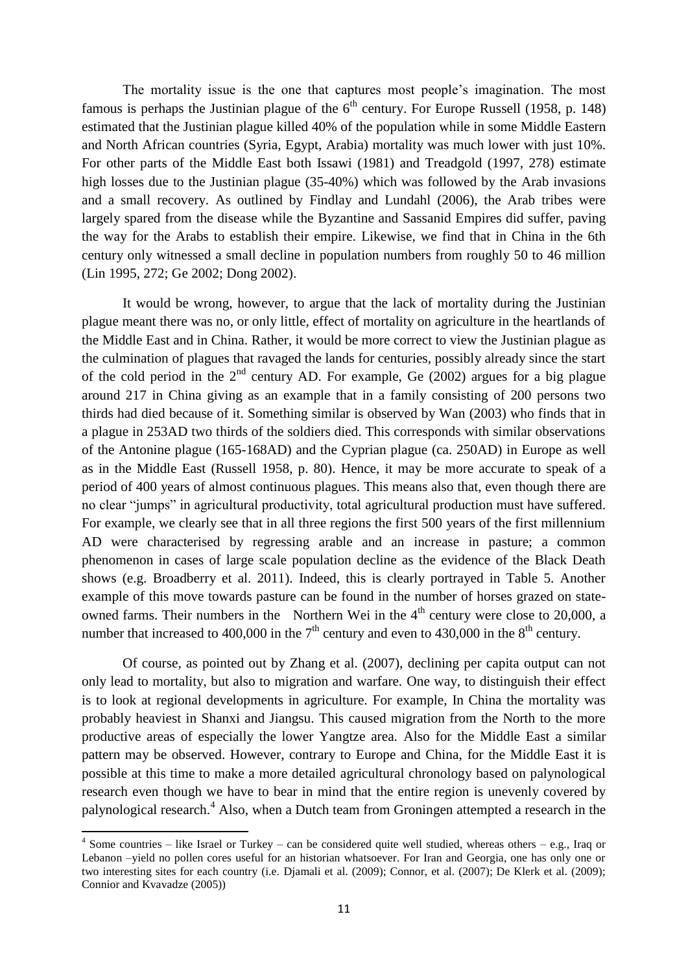The mortality issue is the one that captures most people's imagination. The most famous is perhaps the Justinian plague of the  $6<sup>th</sup>$  century. For Europe Russell (1958, p. 148) estimated that the Justinian plague killed 40% of the population while in some Middle Eastern and North African countries (Syria, Egypt, Arabia) mortality was much lower with just 10%. For other parts of the Middle East both Issawi (1981) and Treadgold (1997, 278) estimate high losses due to the Justinian plague (35-40%) which was followed by the Arab invasions and a small recovery. As outlined by Findlay and Lundahl (2006), the Arab tribes were largely spared from the disease while the Byzantine and Sassanid Empires did suffer, paving the way for the Arabs to establish their empire. Likewise, we find that in China in the 6th century only witnessed a small decline in population numbers from roughly 50 to 46 million (Lin 1995, 272; Ge 2002; Dong 2002).

It would be wrong, however, to argue that the lack of mortality during the Justinian plague meant there was no, or only little, effect of mortality on agriculture in the heartlands of the Middle East and in China. Rather, it would be more correct to view the Justinian plague as the culmination of plagues that ravaged the lands for centuries, possibly already since the start of the cold period in the  $2<sup>nd</sup>$  century AD. For example, Ge (2002) argues for a big plague around 217 in China giving as an example that in a family consisting of 200 persons two thirds had died because of it. Something similar is observed by Wan (2003) who finds that in a plague in 253AD two thirds of the soldiers died. This corresponds with similar observations of the Antonine plague (165-168AD) and the Cyprian plague (ca. 250AD) in Europe as well as in the Middle East (Russell 1958, p. 80). Hence, it may be more accurate to speak of a period of 400 years of almost continuous plagues. This means also that, even though there are no clear "jumps" in agricultural productivity, total agricultural production must have suffered. For example, we clearly see that in all three regions the first 500 years of the first millennium AD were characterised by regressing arable and an increase in pasture; a common phenomenon in cases of large scale population decline as the evidence of the Black Death shows (e.g. Broadberry et al. 2011). Indeed, this is clearly portrayed in Table 5. Another example of this move towards pasture can be found in the number of horses grazed on stateowned farms. Their numbers in the Northern Wei in the  $4<sup>th</sup>$  century were close to 20,000, a number that increased to 400,000 in the  $7<sup>th</sup>$  century and even to 430,000 in the  $8<sup>th</sup>$  century.

Of course, as pointed out by Zhang et al. (2007), declining per capita output can not only lead to mortality, but also to migration and warfare. One way, to distinguish their effect is to look at regional developments in agriculture. For example, In China the mortality was probably heaviest in Shanxi and Jiangsu. This caused migration from the North to the more productive areas of especially the lower Yangtze area. Also for the Middle East a similar pattern may be observed. However, contrary to Europe and China, for the Middle East it is possible at this time to make a more detailed agricultural chronology based on palynological research even though we have to bear in mind that the entire region is unevenly covered by palynological research.<sup>4</sup> Also, when a Dutch team from Groningen attempted a research in the

 4 Some countries – like Israel or Turkey – can be considered quite well studied, whereas others – e.g., Iraq or Lebanon –yield no pollen cores useful for an historian whatsoever. For Iran and Georgia, one has only one or two interesting sites for each country (i.e. Djamali et al. (2009); Connor, et al. (2007); De Klerk et al. (2009); Connior and Kvavadze (2005))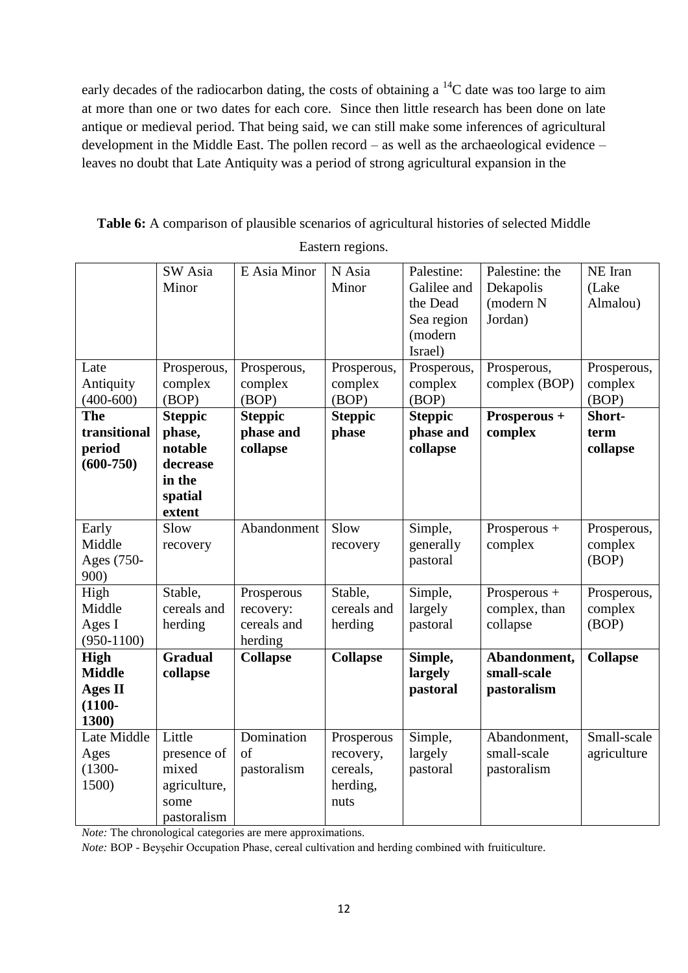early decades of the radiocarbon dating, the costs of obtaining a  $^{14}$ C date was too large to aim at more than one or two dates for each core. Since then little research has been done on late antique or medieval period. That being said, we can still make some inferences of agricultural development in the Middle East. The pollen record – as well as the archaeological evidence – leaves no doubt that Late Antiquity was a period of strong agricultural expansion in the

**Table 6:** A comparison of plausible scenarios of agricultural histories of selected Middle

Eastern regions.

| Late                                                          | SW Asia<br>Minor<br>Prosperous,                                                | E Asia Minor<br>Prosperous,                       | N Asia<br>Minor<br>Prosperous,                          | Palestine:<br>Galilee and<br>the Dead<br>Sea region<br>(modern<br>Israel)<br>Prosperous, | Palestine: the<br>Dekapolis<br>(modern N<br>Jordan)<br>Prosperous, | NE Iran<br>(Lake<br>Almalou)<br>Prosperous, |
|---------------------------------------------------------------|--------------------------------------------------------------------------------|---------------------------------------------------|---------------------------------------------------------|------------------------------------------------------------------------------------------|--------------------------------------------------------------------|---------------------------------------------|
| Antiquity<br>$(400-600)$                                      | complex<br>(BOP)                                                               | complex<br>(BOP)                                  | complex<br>(BOP)                                        | complex<br>(BOP)                                                                         | complex (BOP)                                                      | complex<br>(BOP)                            |
| <b>The</b><br>transitional<br>period<br>$(600 - 750)$         | <b>Steppic</b><br>phase,<br>notable<br>decrease<br>in the<br>spatial<br>extent | <b>Steppic</b><br>phase and<br>collapse           | <b>Steppic</b><br>phase                                 | <b>Steppic</b><br>phase and<br>collapse                                                  | Prosperous +<br>complex                                            | Short-<br>term<br>collapse                  |
| Early<br>Middle<br>Ages (750-<br>900)                         | Slow<br>recovery                                                               | Abandonment                                       | Slow<br>recovery                                        | Simple,<br>generally<br>pastoral                                                         | Prosperous +<br>complex                                            | Prosperous,<br>complex<br>(BOP)             |
| High<br>Middle<br>Ages I<br>$(950-1100)$                      | Stable,<br>cereals and<br>herding                                              | Prosperous<br>recovery:<br>cereals and<br>herding | Stable,<br>cereals and<br>herding                       | Simple,<br>largely<br>pastoral                                                           | Prosperous +<br>complex, than<br>collapse                          | Prosperous,<br>complex<br>(BOP)             |
| High<br><b>Middle</b><br><b>Ages II</b><br>$(1100 -$<br>1300) | <b>Gradual</b><br>collapse                                                     | <b>Collapse</b>                                   | <b>Collapse</b>                                         | Simple,<br>largely<br>pastoral                                                           | Abandonment,<br>small-scale<br>pastoralism                         | <b>Collapse</b>                             |
| Late Middle<br>Ages<br>$(1300 -$<br>1500)                     | Little<br>presence of<br>mixed<br>agriculture,<br>some<br>pastoralism          | Domination<br>of<br>pastoralism                   | Prosperous<br>recovery,<br>cereals,<br>herding,<br>nuts | Simple,<br>largely<br>pastoral                                                           | Abandonment,<br>small-scale<br>pastoralism                         | Small-scale<br>agriculture                  |

*Note:* The chronological categories are mere approximations.

*Note:* BOP - Beyşehir Occupation Phase, cereal cultivation and herding combined with fruiticulture.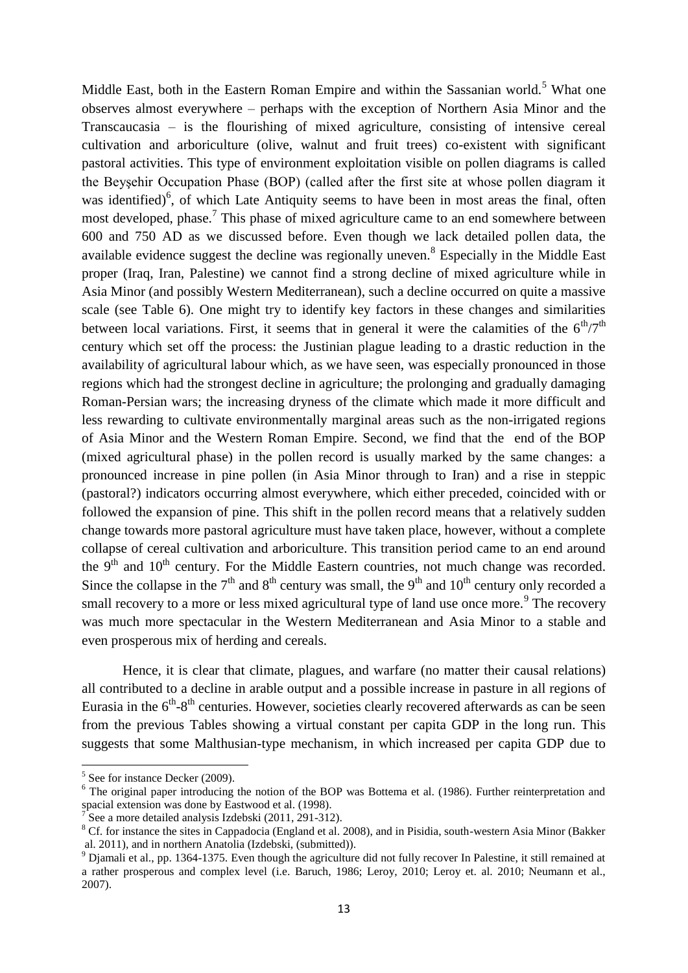Middle East, both in the Eastern Roman Empire and within the Sassanian world.<sup>5</sup> What one observes almost everywhere – perhaps with the exception of Northern Asia Minor and the Transcaucasia – is the flourishing of mixed agriculture, consisting of intensive cereal cultivation and arboriculture (olive, walnut and fruit trees) co-existent with significant pastoral activities. This type of environment exploitation visible on pollen diagrams is called the Beyşehir Occupation Phase (BOP) (called after the first site at whose pollen diagram it was identified) $6$ , of which Late Antiquity seems to have been in most areas the final, often most developed, phase.<sup>7</sup> This phase of mixed agriculture came to an end somewhere between 600 and 750 AD as we discussed before. Even though we lack detailed pollen data, the available evidence suggest the decline was regionally uneven.<sup>8</sup> Especially in the Middle East proper (Iraq, Iran, Palestine) we cannot find a strong decline of mixed agriculture while in Asia Minor (and possibly Western Mediterranean), such a decline occurred on quite a massive scale (see Table 6). One might try to identify key factors in these changes and similarities between local variations. First, it seems that in general it were the calamities of the  $6<sup>th</sup>/7<sup>th</sup>$ century which set off the process: the Justinian plague leading to a drastic reduction in the availability of agricultural labour which, as we have seen, was especially pronounced in those regions which had the strongest decline in agriculture; the prolonging and gradually damaging Roman-Persian wars; the increasing dryness of the climate which made it more difficult and less rewarding to cultivate environmentally marginal areas such as the non-irrigated regions of Asia Minor and the Western Roman Empire. Second, we find that the end of the BOP (mixed agricultural phase) in the pollen record is usually marked by the same changes: a pronounced increase in pine pollen (in Asia Minor through to Iran) and a rise in steppic (pastoral?) indicators occurring almost everywhere, which either preceded, coincided with or followed the expansion of pine. This shift in the pollen record means that a relatively sudden change towards more pastoral agriculture must have taken place, however, without a complete collapse of cereal cultivation and arboriculture. This transition period came to an end around the  $9<sup>th</sup>$  and  $10<sup>th</sup>$  century. For the Middle Eastern countries, not much change was recorded. Since the collapse in the  $7<sup>th</sup>$  and  $8<sup>th</sup>$  century was small, the  $9<sup>th</sup>$  and  $10<sup>th</sup>$  century only recorded a small recovery to a more or less mixed agricultural type of land use once more.<sup>9</sup> The recovery was much more spectacular in the Western Mediterranean and Asia Minor to a stable and even prosperous mix of herding and cereals.

Hence, it is clear that climate, plagues, and warfare (no matter their causal relations) all contributed to a decline in arable output and a possible increase in pasture in all regions of Eurasia in the  $6<sup>th</sup>-8<sup>th</sup>$  centuries. However, societies clearly recovered afterwards as can be seen from the previous Tables showing a virtual constant per capita GDP in the long run. This suggests that some Malthusian-type mechanism, in which increased per capita GDP due to

1

<sup>5</sup> See for instance Decker (2009).

<sup>&</sup>lt;sup>6</sup> The original paper introducing the notion of the BOP was Bottema et al. (1986). Further reinterpretation and spacial extension was done by Eastwood et al. (1998).

<sup>7</sup> See a more detailed analysis Izdebski (2011, 291-312).

<sup>&</sup>lt;sup>8</sup> Cf. for instance the sites in Cappadocia (England et al. 2008), and in Pisidia, south-western Asia Minor (Bakker al. 2011), and in northern Anatolia (Izdebski, (submitted)).

<sup>&</sup>lt;sup>9</sup> Djamali et al., pp. 1364-1375. Even though the agriculture did not fully recover In Palestine, it still remained at a rather prosperous and complex level (i.e. Baruch, 1986; Leroy, 2010; Leroy et. al. 2010; Neumann et al., 2007).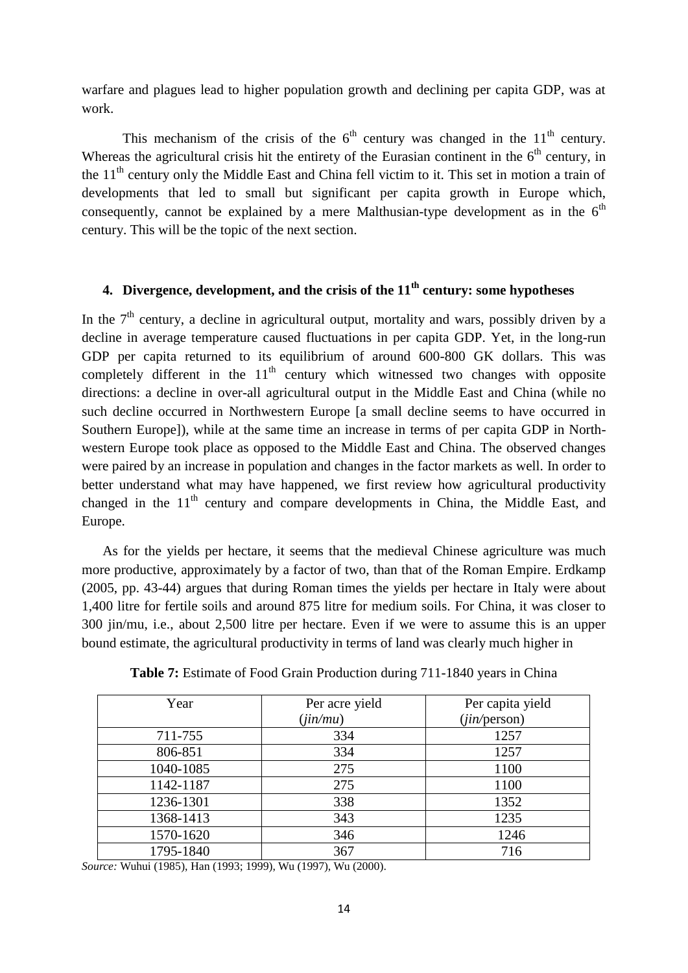warfare and plagues lead to higher population growth and declining per capita GDP, was at work.

This mechanism of the crisis of the  $6<sup>th</sup>$  century was changed in the  $11<sup>th</sup>$  century. Whereas the agricultural crisis hit the entirety of the Eurasian continent in the  $6<sup>th</sup>$  century, in the 11<sup>th</sup> century only the Middle East and China fell victim to it. This set in motion a train of developments that led to small but significant per capita growth in Europe which, consequently, cannot be explained by a mere Malthusian-type development as in the  $6<sup>th</sup>$ century. This will be the topic of the next section.

## **4. Divergence, development, and the crisis of the 11th century: some hypotheses**

In the  $7<sup>th</sup>$  century, a decline in agricultural output, mortality and wars, possibly driven by a decline in average temperature caused fluctuations in per capita GDP. Yet, in the long-run GDP per capita returned to its equilibrium of around 600-800 GK dollars. This was completely different in the  $11<sup>th</sup>$  century which witnessed two changes with opposite directions: a decline in over-all agricultural output in the Middle East and China (while no such decline occurred in Northwestern Europe [a small decline seems to have occurred in Southern Europe]), while at the same time an increase in terms of per capita GDP in Northwestern Europe took place as opposed to the Middle East and China. The observed changes were paired by an increase in population and changes in the factor markets as well. In order to better understand what may have happened, we first review how agricultural productivity changed in the  $11<sup>th</sup>$  century and compare developments in China, the Middle East, and Europe.

As for the yields per hectare, it seems that the medieval Chinese agriculture was much more productive, approximately by a factor of two, than that of the Roman Empire. Erdkamp (2005, pp. 43-44) argues that during Roman times the yields per hectare in Italy were about 1,400 litre for fertile soils and around 875 litre for medium soils. For China, it was closer to 300 jin/mu, i.e., about 2,500 litre per hectare. Even if we were to assume this is an upper bound estimate, the agricultural productivity in terms of land was clearly much higher in

| Year      | Per acre yield | Per capita yield |
|-----------|----------------|------------------|
|           | (iin/mu)       | (iin/person)     |
| 711-755   | 334            | 1257             |
| 806-851   | 334            | 1257             |
| 1040-1085 | 275            | 1100             |
| 1142-1187 | 275            | 1100             |
| 1236-1301 | 338            | 1352             |
| 1368-1413 | 343            | 1235             |
| 1570-1620 | 346            | 1246             |
| 1795-1840 | 367            | 716              |

**Table 7:** Estimate of Food Grain Production during 711-1840 years in China

*Source:* Wuhui (1985), Han (1993; 1999), Wu (1997), Wu (2000).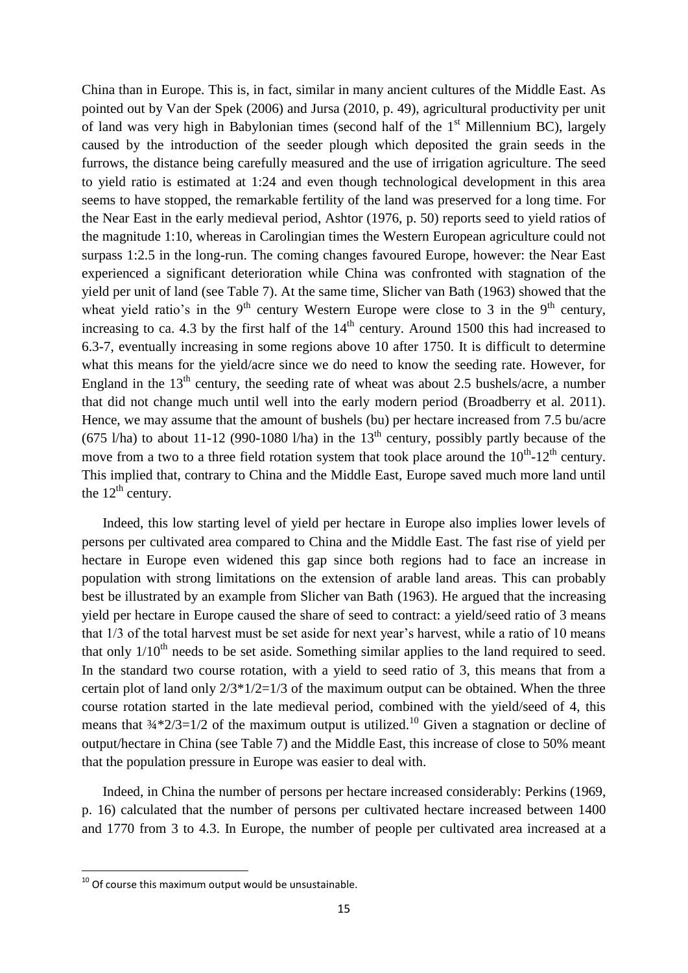China than in Europe. This is, in fact, similar in many ancient cultures of the Middle East. As pointed out by Van der Spek (2006) and Jursa (2010, p. 49), agricultural productivity per unit of land was very high in Babylonian times (second half of the  $1<sup>st</sup>$  Millennium BC), largely caused by the introduction of the seeder plough which deposited the grain seeds in the furrows, the distance being carefully measured and the use of irrigation agriculture. The seed to yield ratio is estimated at 1:24 and even though technological development in this area seems to have stopped, the remarkable fertility of the land was preserved for a long time. For the Near East in the early medieval period, Ashtor (1976, p. 50) reports seed to yield ratios of the magnitude 1:10, whereas in Carolingian times the Western European agriculture could not surpass 1:2.5 in the long-run. The coming changes favoured Europe, however: the Near East experienced a significant deterioration while China was confronted with stagnation of the yield per unit of land (see Table 7). At the same time, Slicher van Bath (1963) showed that the wheat yield ratio's in the 9<sup>th</sup> century Western Europe were close to 3 in the 9<sup>th</sup> century, increasing to ca. 4.3 by the first half of the  $14<sup>th</sup>$  century. Around 1500 this had increased to 6.3-7, eventually increasing in some regions above 10 after 1750. It is difficult to determine what this means for the yield/acre since we do need to know the seeding rate. However, for England in the  $13<sup>th</sup>$  century, the seeding rate of wheat was about 2.5 bushels/acre, a number that did not change much until well into the early modern period (Broadberry et al. 2011). Hence, we may assume that the amount of bushels (bu) per hectare increased from 7.5 bu/acre (675 l/ha) to about 11-12 (990-1080 l/ha) in the  $13<sup>th</sup>$  century, possibly partly because of the move from a two to a three field rotation system that took place around the  $10^{th}$ - $12^{th}$  century. This implied that, contrary to China and the Middle East, Europe saved much more land until the  $12<sup>th</sup>$  century.

Indeed, this low starting level of yield per hectare in Europe also implies lower levels of persons per cultivated area compared to China and the Middle East. The fast rise of yield per hectare in Europe even widened this gap since both regions had to face an increase in population with strong limitations on the extension of arable land areas. This can probably best be illustrated by an example from Slicher van Bath (1963). He argued that the increasing yield per hectare in Europe caused the share of seed to contract: a yield/seed ratio of 3 means that 1/3 of the total harvest must be set aside for next year's harvest, while a ratio of 10 means that only  $1/10<sup>th</sup>$  needs to be set aside. Something similar applies to the land required to seed. In the standard two course rotation, with a yield to seed ratio of 3, this means that from a certain plot of land only  $2/3*1/2=1/3$  of the maximum output can be obtained. When the three course rotation started in the late medieval period, combined with the yield/seed of 4, this means that  $\frac{3}{4}$   $\frac{2}{3}$  = 1/2 of the maximum output is utilized.<sup>10</sup> Given a stagnation or decline of output/hectare in China (see Table 7) and the Middle East, this increase of close to 50% meant that the population pressure in Europe was easier to deal with.

Indeed, in China the number of persons per hectare increased considerably: Perkins (1969, p. 16) calculated that the number of persons per cultivated hectare increased between 1400 and 1770 from 3 to 4.3. In Europe, the number of people per cultivated area increased at a

**.** 

 $^{10}$  Of course this maximum output would be unsustainable.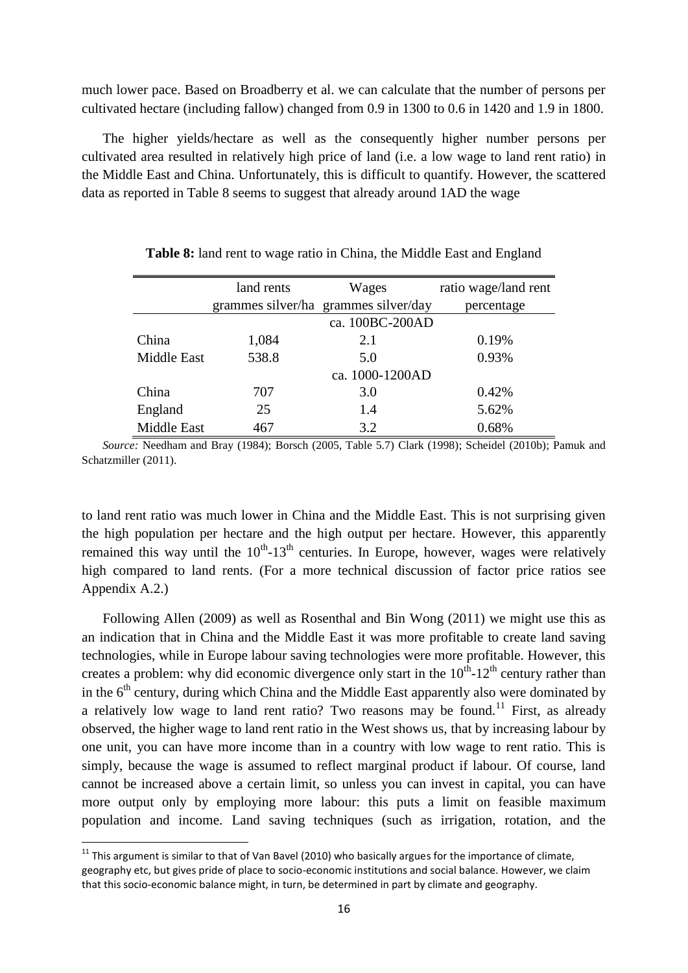much lower pace. Based on Broadberry et al. we can calculate that the number of persons per cultivated hectare (including fallow) changed from 0.9 in 1300 to 0.6 in 1420 and 1.9 in 1800.

The higher yields/hectare as well as the consequently higher number persons per cultivated area resulted in relatively high price of land (i.e. a low wage to land rent ratio) in the Middle East and China. Unfortunately, this is difficult to quantify. However, the scattered data as reported in Table 8 seems to suggest that already around 1AD the wage

|                    | land rents | Wages                                | ratio wage/land rent |
|--------------------|------------|--------------------------------------|----------------------|
|                    |            | grammes silver/ha grammes silver/day | percentage           |
|                    |            | ca. 100BC-200AD                      |                      |
| China              | 1,084      | 2.1                                  | 0.19%                |
| <b>Middle East</b> | 538.8      | 5.0                                  | 0.93%                |
|                    |            | ca. 1000-1200AD                      |                      |
| China              | 707        | 3.0                                  | 0.42%                |
| England            | 25         | 1.4                                  | 5.62%                |
| Middle East        | 467        | 3.2                                  | 0.68%                |

**Table 8:** land rent to wage ratio in China, the Middle East and England

*Source:* Needham and Bray (1984); Borsch (2005, Table 5.7) Clark (1998); Scheidel (2010b); Pamuk and Schatzmiller (2011).

to land rent ratio was much lower in China and the Middle East. This is not surprising given the high population per hectare and the high output per hectare. However, this apparently remained this way until the  $10^{th}$ -13<sup>th</sup> centuries. In Europe, however, wages were relatively high compared to land rents. (For a more technical discussion of factor price ratios see Appendix A.2.)

Following Allen (2009) as well as Rosenthal and Bin Wong (2011) we might use this as an indication that in China and the Middle East it was more profitable to create land saving technologies, while in Europe labour saving technologies were more profitable. However, this creates a problem: why did economic divergence only start in the  $10^{th}$ - $12^{th}$  century rather than in the  $6<sup>th</sup>$  century, during which China and the Middle East apparently also were dominated by a relatively low wage to land rent ratio? Two reasons may be found.<sup>11</sup> First, as already observed, the higher wage to land rent ratio in the West shows us, that by increasing labour by one unit, you can have more income than in a country with low wage to rent ratio. This is simply, because the wage is assumed to reflect marginal product if labour. Of course, land cannot be increased above a certain limit, so unless you can invest in capital, you can have more output only by employing more labour: this puts a limit on feasible maximum population and income. Land saving techniques (such as irrigation, rotation, and the

**.** 

 $11$  This argument is similar to that of Van Bavel (2010) who basically argues for the importance of climate, geography etc, but gives pride of place to socio-economic institutions and social balance. However, we claim that this socio-economic balance might, in turn, be determined in part by climate and geography.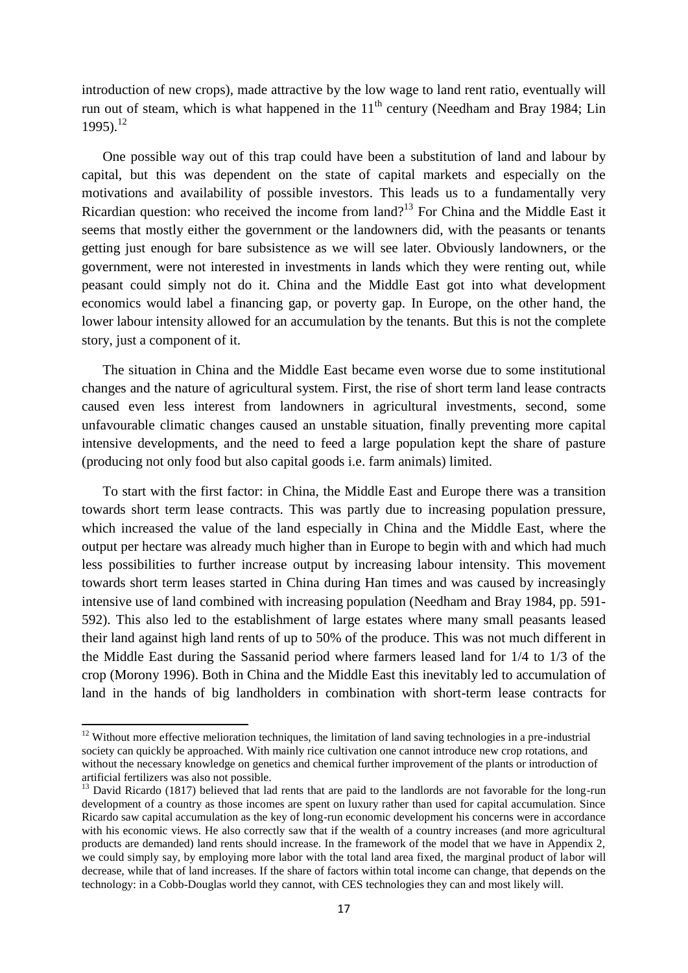introduction of new crops), made attractive by the low wage to land rent ratio, eventually will run out of steam, which is what happened in the  $11<sup>th</sup>$  century (Needham and Bray 1984; Lin 1995). 12

One possible way out of this trap could have been a substitution of land and labour by capital, but this was dependent on the state of capital markets and especially on the motivations and availability of possible investors. This leads us to a fundamentally very Ricardian question: who received the income from land?<sup>13</sup> For China and the Middle East it seems that mostly either the government or the landowners did, with the peasants or tenants getting just enough for bare subsistence as we will see later. Obviously landowners, or the government, were not interested in investments in lands which they were renting out, while peasant could simply not do it. China and the Middle East got into what development economics would label a financing gap, or poverty gap. In Europe, on the other hand, the lower labour intensity allowed for an accumulation by the tenants. But this is not the complete story, just a component of it.

The situation in China and the Middle East became even worse due to some institutional changes and the nature of agricultural system. First, the rise of short term land lease contracts caused even less interest from landowners in agricultural investments, second, some unfavourable climatic changes caused an unstable situation, finally preventing more capital intensive developments, and the need to feed a large population kept the share of pasture (producing not only food but also capital goods i.e. farm animals) limited.

To start with the first factor: in China, the Middle East and Europe there was a transition towards short term lease contracts. This was partly due to increasing population pressure, which increased the value of the land especially in China and the Middle East, where the output per hectare was already much higher than in Europe to begin with and which had much less possibilities to further increase output by increasing labour intensity. This movement towards short term leases started in China during Han times and was caused by increasingly intensive use of land combined with increasing population (Needham and Bray 1984, pp. 591- 592). This also led to the establishment of large estates where many small peasants leased their land against high land rents of up to 50% of the produce. This was not much different in the Middle East during the Sassanid period where farmers leased land for 1/4 to 1/3 of the crop (Morony 1996). Both in China and the Middle East this inevitably led to accumulation of land in the hands of big landholders in combination with short-term lease contracts for

 $\overline{a}$ 

<sup>&</sup>lt;sup>12</sup> Without more effective melioration techniques, the limitation of land saving technologies in a pre-industrial society can quickly be approached. With mainly rice cultivation one cannot introduce new crop rotations, and without the necessary knowledge on genetics and chemical further improvement of the plants or introduction of artificial fertilizers was also not possible.

<sup>&</sup>lt;sup>13</sup> David Ricardo (1817) believed that lad rents that are paid to the landlords are not favorable for the long-run development of a country as those incomes are spent on luxury rather than used for capital accumulation. Since Ricardo saw capital accumulation as the key of long-run economic development his concerns were in accordance with his economic views. He also correctly saw that if the wealth of a country increases (and more agricultural products are demanded) land rents should increase. In the framework of the model that we have in Appendix 2, we could simply say, by employing more labor with the total land area fixed, the marginal product of labor will decrease, while that of land increases. If the share of factors within total income can change, that depends on the technology: in a Cobb-Douglas world they cannot, with CES technologies they can and most likely will.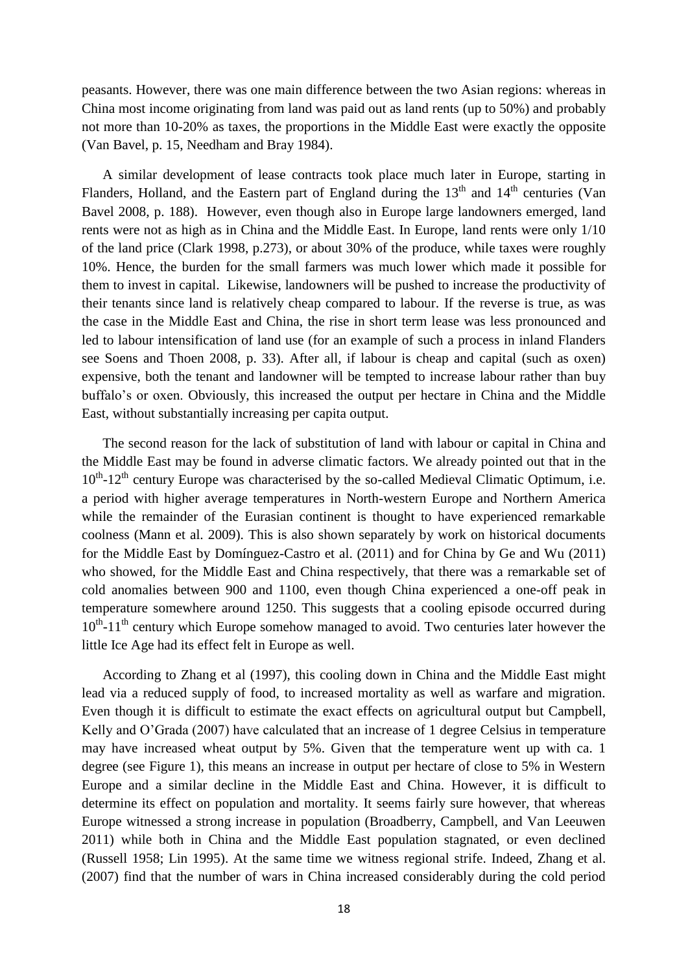peasants. However, there was one main difference between the two Asian regions: whereas in China most income originating from land was paid out as land rents (up to 50%) and probably not more than 10-20% as taxes, the proportions in the Middle East were exactly the opposite (Van Bavel, p. 15, Needham and Bray 1984).

A similar development of lease contracts took place much later in Europe, starting in Flanders, Holland, and the Eastern part of England during the  $13<sup>th</sup>$  and  $14<sup>th</sup>$  centuries (Van Bavel 2008, p. 188). However, even though also in Europe large landowners emerged, land rents were not as high as in China and the Middle East. In Europe, land rents were only 1/10 of the land price (Clark 1998, p.273), or about 30% of the produce, while taxes were roughly 10%. Hence, the burden for the small farmers was much lower which made it possible for them to invest in capital. Likewise, landowners will be pushed to increase the productivity of their tenants since land is relatively cheap compared to labour. If the reverse is true, as was the case in the Middle East and China, the rise in short term lease was less pronounced and led to labour intensification of land use (for an example of such a process in inland Flanders see Soens and Thoen 2008, p. 33). After all, if labour is cheap and capital (such as oxen) expensive, both the tenant and landowner will be tempted to increase labour rather than buy buffalo's or oxen. Obviously, this increased the output per hectare in China and the Middle East, without substantially increasing per capita output.

The second reason for the lack of substitution of land with labour or capital in China and the Middle East may be found in adverse climatic factors. We already pointed out that in the 10<sup>th</sup>-12<sup>th</sup> century Europe was characterised by the so-called Medieval Climatic Optimum, i.e. a period with higher average temperatures in North-western Europe and Northern America while the remainder of the Eurasian continent is thought to have experienced remarkable coolness (Mann et al. 2009). This is also shown separately by work on historical documents for the Middle East by Domínguez-Castro et al. (2011) and for China by Ge and Wu (2011) who showed, for the Middle East and China respectively, that there was a remarkable set of cold anomalies between 900 and 1100, even though China experienced a one-off peak in temperature somewhere around 1250. This suggests that a cooling episode occurred during 10<sup>th</sup>-11<sup>th</sup> century which Europe somehow managed to avoid. Two centuries later however the little Ice Age had its effect felt in Europe as well.

According to Zhang et al (1997), this cooling down in China and the Middle East might lead via a reduced supply of food, to increased mortality as well as warfare and migration. Even though it is difficult to estimate the exact effects on agricultural output but Campbell, Kelly and O'Grada (2007) have calculated that an increase of 1 degree Celsius in temperature may have increased wheat output by 5%. Given that the temperature went up with ca. 1 degree (see Figure 1), this means an increase in output per hectare of close to 5% in Western Europe and a similar decline in the Middle East and China. However, it is difficult to determine its effect on population and mortality. It seems fairly sure however, that whereas Europe witnessed a strong increase in population (Broadberry, Campbell, and Van Leeuwen 2011) while both in China and the Middle East population stagnated, or even declined (Russell 1958; Lin 1995). At the same time we witness regional strife. Indeed, Zhang et al. (2007) find that the number of wars in China increased considerably during the cold period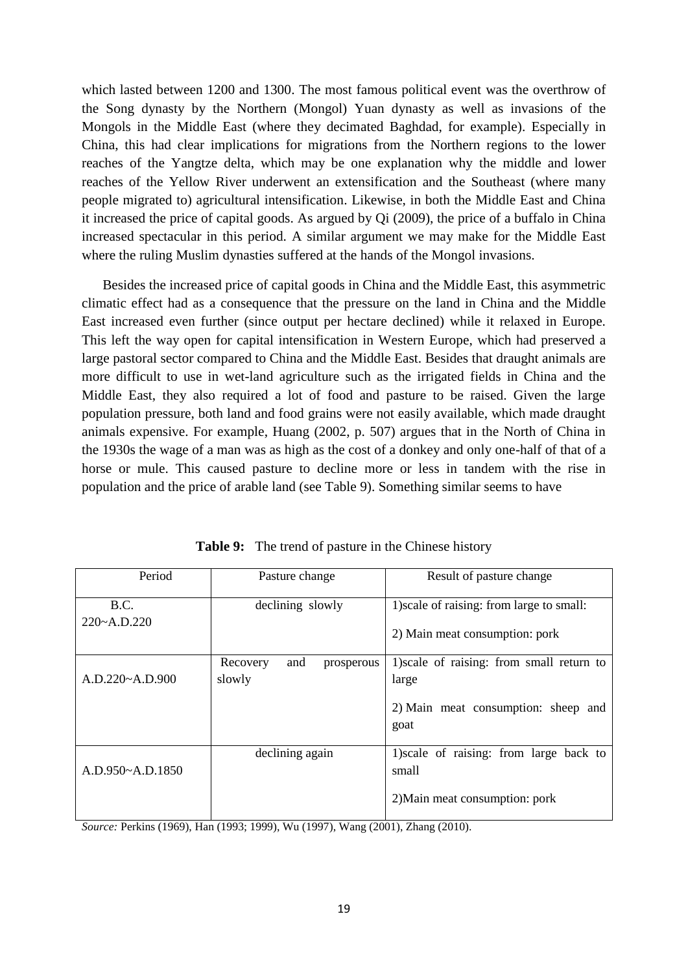which lasted between 1200 and 1300. The most famous political event was the overthrow of the Song dynasty by the Northern (Mongol) Yuan dynasty as well as invasions of the Mongols in the Middle East (where they decimated Baghdad, for example). Especially in China, this had clear implications for migrations from the Northern regions to the lower reaches of the Yangtze delta, which may be one explanation why the middle and lower reaches of the Yellow River underwent an extensification and the Southeast (where many people migrated to) agricultural intensification. Likewise, in both the Middle East and China it increased the price of capital goods. As argued by Qi (2009), the price of a buffalo in China increased spectacular in this period. A similar argument we may make for the Middle East where the ruling Muslim dynasties suffered at the hands of the Mongol invasions.

Besides the increased price of capital goods in China and the Middle East, this asymmetric climatic effect had as a consequence that the pressure on the land in China and the Middle East increased even further (since output per hectare declined) while it relaxed in Europe. This left the way open for capital intensification in Western Europe, which had preserved a large pastoral sector compared to China and the Middle East. Besides that draught animals are more difficult to use in wet-land agriculture such as the irrigated fields in China and the Middle East, they also required a lot of food and pasture to be raised. Given the large population pressure, both land and food grains were not easily available, which made draught animals expensive. For example, Huang (2002, p. 507) argues that in the North of China in the 1930s the wage of a man was as high as the cost of a donkey and only one-half of that of a horse or mule. This caused pasture to decline more or less in tandem with the rise in population and the price of arable land (see Table 9). Something similar seems to have

| Period                      | Pasture change                | Result of pasture change                    |  |
|-----------------------------|-------------------------------|---------------------------------------------|--|
| B.C.                        | declining slowly              | 1) scale of raising: from large to small:   |  |
| $220 - A \cdot D \cdot 220$ |                               | 2) Main meat consumption: pork              |  |
|                             | Recovery<br>and<br>prosperous | 1) scale of raising: from small return to   |  |
| A.D.220~A.D.900             | slowly                        | large                                       |  |
|                             |                               | 2) Main meat consumption: sheep and<br>goat |  |
|                             | declining again               | 1) scale of raising: from large back to     |  |
| A.D.950~A.D.1850            |                               | small                                       |  |
|                             |                               | 2) Main meat consumption: pork              |  |

**Table 9:** The trend of pasture in the Chinese history

*Source:* Perkins (1969), Han (1993; 1999), Wu (1997), Wang (2001), Zhang (2010).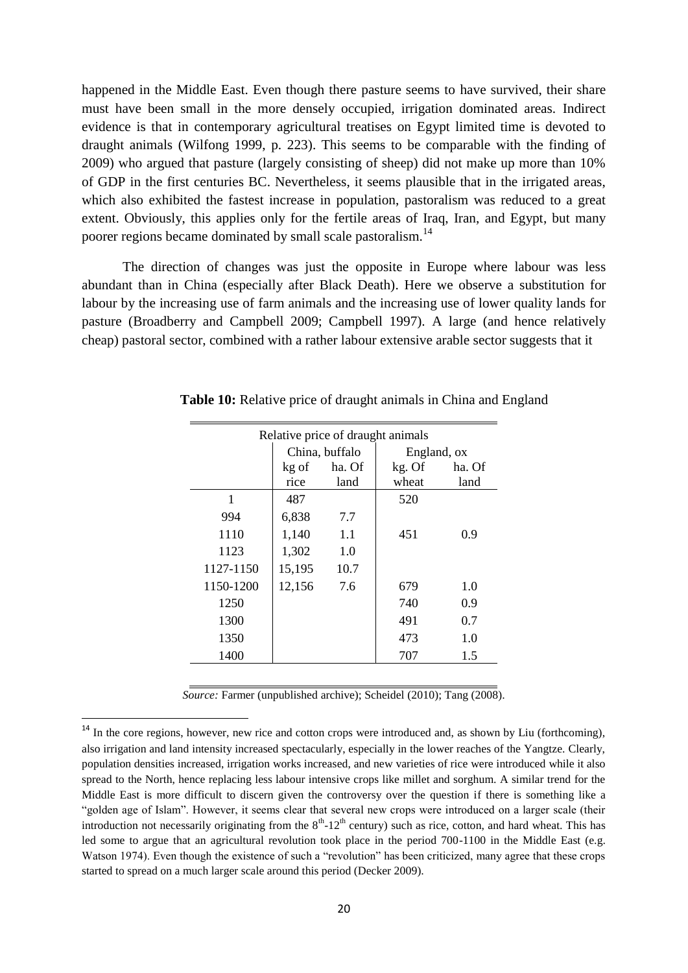happened in the Middle East. Even though there pasture seems to have survived, their share must have been small in the more densely occupied, irrigation dominated areas. Indirect evidence is that in contemporary agricultural treatises on Egypt limited time is devoted to draught animals (Wilfong 1999, p. 223). This seems to be comparable with the finding of 2009) who argued that pasture (largely consisting of sheep) did not make up more than 10% of GDP in the first centuries BC. Nevertheless, it seems plausible that in the irrigated areas, which also exhibited the fastest increase in population, pastoralism was reduced to a great extent. Obviously, this applies only for the fertile areas of Iraq, Iran, and Egypt, but many poorer regions became dominated by small scale pastoralism.<sup>14</sup>

The direction of changes was just the opposite in Europe where labour was less abundant than in China (especially after Black Death). Here we observe a substitution for labour by the increasing use of farm animals and the increasing use of lower quality lands for pasture (Broadberry and Campbell 2009; Campbell 1997). A large (and hence relatively cheap) pastoral sector, combined with a rather labour extensive arable sector suggests that it

| Relative price of draught animals |        |                |             |        |  |  |  |
|-----------------------------------|--------|----------------|-------------|--------|--|--|--|
|                                   |        | China, buffalo | England, ox |        |  |  |  |
|                                   | kg of  | ha. Of         | kg. Of      | ha. Of |  |  |  |
|                                   | rice   | land           | wheat       | land   |  |  |  |
|                                   | 487    |                | 520         |        |  |  |  |
| 994                               | 6,838  | 7.7            |             |        |  |  |  |
| 1110                              | 1,140  | 1.1            | 451         | 0.9    |  |  |  |
| 1123                              | 1,302  | 1.0            |             |        |  |  |  |
| 1127-1150                         | 15,195 | 10.7           |             |        |  |  |  |
| 1150-1200                         | 12,156 | 7.6            | 679         | 1.0    |  |  |  |
| 1250                              |        |                | 740         | 0.9    |  |  |  |
| 1300                              |        |                | 491         | 0.7    |  |  |  |
| 1350                              |        |                | 473         | 1.0    |  |  |  |
| 1400                              |        |                | 707         | 1.5    |  |  |  |

**Table 10:** Relative price of draught animals in China and England

*Source:* Farmer (unpublished archive); Scheidel (2010); Tang (2008).

**.** 

<sup>&</sup>lt;sup>14</sup> In the core regions, however, new rice and cotton crops were introduced and, as shown by Liu (forthcoming), also irrigation and land intensity increased spectacularly, especially in the lower reaches of the Yangtze. Clearly, population densities increased, irrigation works increased, and new varieties of rice were introduced while it also spread to the North, hence replacing less labour intensive crops like millet and sorghum. A similar trend for the Middle East is more difficult to discern given the controversy over the question if there is something like a "golden age of Islam". However, it seems clear that several new crops were introduced on a larger scale (their introduction not necessarily originating from the  $8<sup>th</sup>$ -12<sup>th</sup> century) such as rice, cotton, and hard wheat. This has led some to argue that an agricultural revolution took place in the period 700-1100 in the Middle East (e.g. Watson 1974). Even though the existence of such a "revolution" has been criticized, many agree that these crops started to spread on a much larger scale around this period (Decker 2009).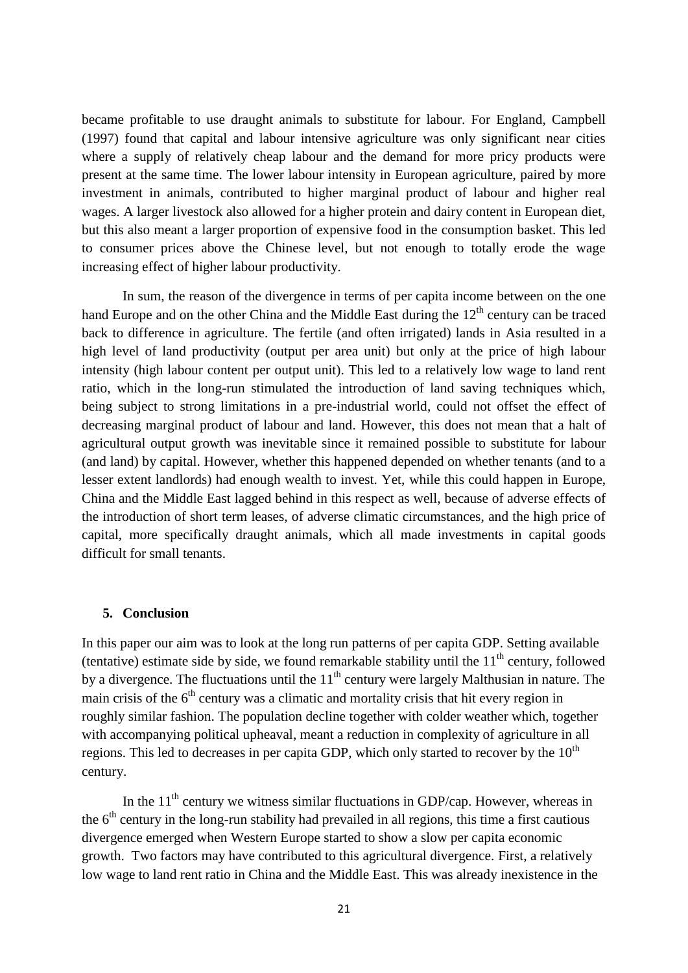became profitable to use draught animals to substitute for labour. For England, Campbell (1997) found that capital and labour intensive agriculture was only significant near cities where a supply of relatively cheap labour and the demand for more pricy products were present at the same time. The lower labour intensity in European agriculture, paired by more investment in animals, contributed to higher marginal product of labour and higher real wages. A larger livestock also allowed for a higher protein and dairy content in European diet, but this also meant a larger proportion of expensive food in the consumption basket. This led to consumer prices above the Chinese level, but not enough to totally erode the wage increasing effect of higher labour productivity.

In sum, the reason of the divergence in terms of per capita income between on the one hand Europe and on the other China and the Middle East during the  $12<sup>th</sup>$  century can be traced back to difference in agriculture. The fertile (and often irrigated) lands in Asia resulted in a high level of land productivity (output per area unit) but only at the price of high labour intensity (high labour content per output unit). This led to a relatively low wage to land rent ratio, which in the long-run stimulated the introduction of land saving techniques which, being subject to strong limitations in a pre-industrial world, could not offset the effect of decreasing marginal product of labour and land. However, this does not mean that a halt of agricultural output growth was inevitable since it remained possible to substitute for labour (and land) by capital. However, whether this happened depended on whether tenants (and to a lesser extent landlords) had enough wealth to invest. Yet, while this could happen in Europe, China and the Middle East lagged behind in this respect as well, because of adverse effects of the introduction of short term leases, of adverse climatic circumstances, and the high price of capital, more specifically draught animals, which all made investments in capital goods difficult for small tenants.

### **5. Conclusion**

In this paper our aim was to look at the long run patterns of per capita GDP. Setting available (tentative) estimate side by side, we found remarkable stability until the  $11<sup>th</sup>$  century, followed by a divergence. The fluctuations until the  $11<sup>th</sup>$  century were largely Malthusian in nature. The main crisis of the  $6<sup>th</sup>$  century was a climatic and mortality crisis that hit every region in roughly similar fashion. The population decline together with colder weather which, together with accompanying political upheaval, meant a reduction in complexity of agriculture in all regions. This led to decreases in per capita GDP, which only started to recover by the  $10<sup>th</sup>$ century.

In the  $11<sup>th</sup>$  century we witness similar fluctuations in GDP/cap. However, whereas in the  $6<sup>th</sup>$  century in the long-run stability had prevailed in all regions, this time a first cautious divergence emerged when Western Europe started to show a slow per capita economic growth. Two factors may have contributed to this agricultural divergence. First, a relatively low wage to land rent ratio in China and the Middle East. This was already inexistence in the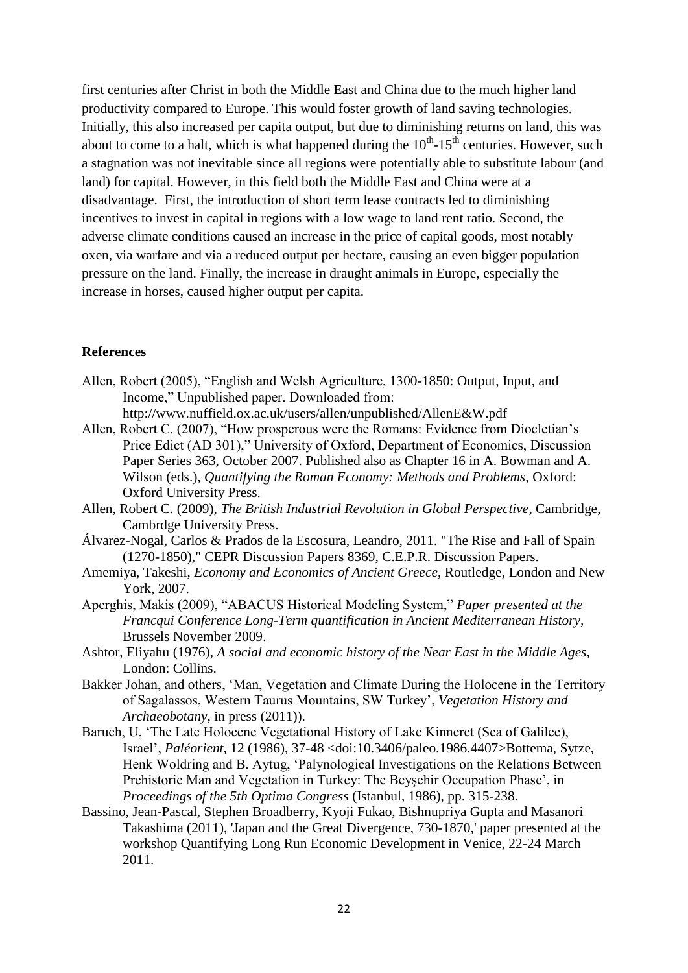first centuries after Christ in both the Middle East and China due to the much higher land productivity compared to Europe. This would foster growth of land saving technologies. Initially, this also increased per capita output, but due to diminishing returns on land, this was about to come to a halt, which is what happened during the  $10^{th}$ -15<sup>th</sup> centuries. However, such a stagnation was not inevitable since all regions were potentially able to substitute labour (and land) for capital. However, in this field both the Middle East and China were at a disadvantage. First, the introduction of short term lease contracts led to diminishing incentives to invest in capital in regions with a low wage to land rent ratio. Second, the adverse climate conditions caused an increase in the price of capital goods, most notably oxen, via warfare and via a reduced output per hectare, causing an even bigger population pressure on the land. Finally, the increase in draught animals in Europe, especially the increase in horses, caused higher output per capita.

### **References**

- Allen, Robert (2005), "English and Welsh Agriculture, 1300-1850: Output, Input, and Income," Unpublished paper. Downloaded from: http://www.nuffield.ox.ac.uk/users/allen/unpublished/AllenE&W.pdf
- Allen, Robert C. (2007), "How prosperous were the Romans: Evidence from Diocletian's Price Edict (AD 301)," University of Oxford, Department of Economics, Discussion Paper Series 363, October 2007. Published also as Chapter 16 in A. Bowman and A. Wilson (eds.), *Quantifying the Roman Economy: Methods and Problems*, Oxford: Oxford University Press.
- Allen, Robert C. (2009), *The British Industrial Revolution in Global Perspective*, Cambridge, Cambrdge University Press.
- Álvarez-Nogal, Carlos & Prados de la Escosura, Leandro, 2011. "The Rise and Fall of Spain (1270-1850)," CEPR Discussion Papers 8369, C.E.P.R. Discussion Papers.
- Amemiya, Takeshi, *Economy and Economics of Ancient Greece*, Routledge, London and New York, 2007.
- Aperghis, Makis (2009), "ABACUS Historical Modeling System," *Paper presented at the Francqui Conference Long-Term quantification in Ancient Mediterranean History,*  Brussels November 2009.
- Ashtor, Eliyahu (1976), *A social and economic history of the Near East in the Middle Ages,*  London: Collins.
- Bakker Johan, and others, 'Man, Vegetation and Climate During the Holocene in the Territory of Sagalassos, Western Taurus Mountains, SW Turkey', *Vegetation History and Archaeobotany*, in press (2011)).
- Baruch, U, 'The Late Holocene Vegetational History of Lake Kinneret (Sea of Galilee), Israel', *Paléorient*, 12 (1986), 37-48 <doi:10.3406/paleo.1986.4407>Bottema, Sytze, Henk Woldring and B. Aytug, 'Palynological Investigations on the Relations Between Prehistoric Man and Vegetation in Turkey: The Beyşehir Occupation Phase', in *Proceedings of the 5th Optima Congress* (Istanbul, 1986), pp. 315-238.
- Bassino, Jean-Pascal, Stephen Broadberry, Kyoji Fukao, Bishnupriya Gupta and Masanori Takashima (2011), 'Japan and the Great Divergence, 730-1870,' paper presented at the workshop Quantifying Long Run Economic Development in Venice, 22-24 March 2011.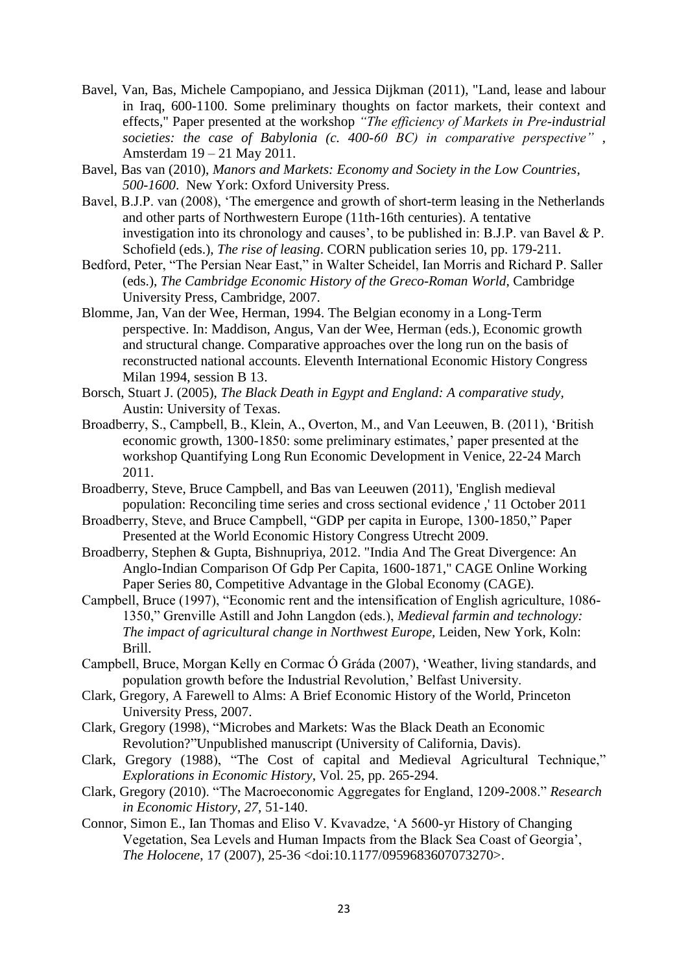- Bavel, Van, Bas, Michele Campopiano, and Jessica Dijkman (2011), "Land, lease and labour in Iraq, 600-1100. Some preliminary thoughts on factor markets, their context and effects," Paper presented at the workshop *"The efficiency of Markets in Pre-industrial societies: the case of Babylonia (c. 400-60 BC) in comparative perspective"* , Amsterdam 19 – 21 May 2011.
- Bavel, Bas van (2010), *Manors and Markets: Economy and Society in the Low Countries, 500-1600*. New York: Oxford University Press.
- Bavel, B.J.P. van (2008), 'The emergence and growth of short-term leasing in the Netherlands and other parts of Northwestern Europe (11th-16th centuries). A tentative investigation into its chronology and causes', to be published in: B.J.P. van Bavel & P. Schofield (eds.), *The rise of leasing*. CORN publication series 10, pp. 179-211.
- Bedford, Peter, "The Persian Near East," in Walter Scheidel, Ian Morris and Richard P. Saller (eds.), *The Cambridge Economic History of the Greco-Roman World*, Cambridge University Press, Cambridge, 2007.
- Blomme, Jan, Van der Wee, Herman, 1994. The Belgian economy in a Long-Term perspective. In: Maddison, Angus, Van der Wee, Herman (eds.), Economic growth and structural change. Comparative approaches over the long run on the basis of reconstructed national accounts. Eleventh International Economic History Congress Milan 1994, session B 13.
- Borsch, Stuart J. (2005), *The Black Death in Egypt and England: A comparative study,*  Austin: University of Texas.
- Broadberry, S., Campbell, B., Klein, A., Overton, M., and Van Leeuwen, B. (2011), 'British economic growth, 1300-1850: some preliminary estimates,' paper presented at the workshop Quantifying Long Run Economic Development in Venice, 22-24 March 2011.
- Broadberry, Steve, Bruce Campbell, and Bas van Leeuwen (2011), 'English medieval population: Reconciling time series and cross sectional evidence ,' 11 October 2011
- Broadberry, Steve, and Bruce Campbell, "GDP per capita in Europe, 1300-1850," Paper Presented at the World Economic History Congress Utrecht 2009.
- Broadberry, Stephen & Gupta, Bishnupriya, 2012. "India And The Great Divergence: An Anglo-Indian Comparison Of Gdp Per Capita, 1600-1871," CAGE Online Working Paper Series 80, Competitive Advantage in the Global Economy (CAGE).
- Campbell, Bruce (1997), "Economic rent and the intensification of English agriculture, 1086- 1350," Grenville Astill and John Langdon (eds.), *Medieval farmin and technology: The impact of agricultural change in Northwest Europe, Leiden, New York, Koln:* Brill.
- Campbell, Bruce, Morgan Kelly en Cormac Ó Gráda (2007), 'Weather, living standards, and population growth before the Industrial Revolution,' Belfast University.
- Clark, Gregory, A Farewell to Alms: A Brief Economic History of the World, Princeton University Press, 2007.
- Clark, Gregory (1998), "Microbes and Markets: Was the Black Death an Economic Revolution?"Unpublished manuscript (University of California, Davis).
- Clark, Gregory (1988), "The Cost of capital and Medieval Agricultural Technique," *Explorations in Economic History*, Vol. 25, pp. 265-294.
- Clark, Gregory (2010). "The Macroeconomic Aggregates for England, 1209-2008." *Research in Economic History*, *27*, 51-140.
- Connor, Simon E., Ian Thomas and Eliso V. Kvavadze, 'A 5600-yr History of Changing Vegetation, Sea Levels and Human Impacts from the Black Sea Coast of Georgia', *The Holocene*, 17 (2007), 25-36 <doi:10.1177/0959683607073270>.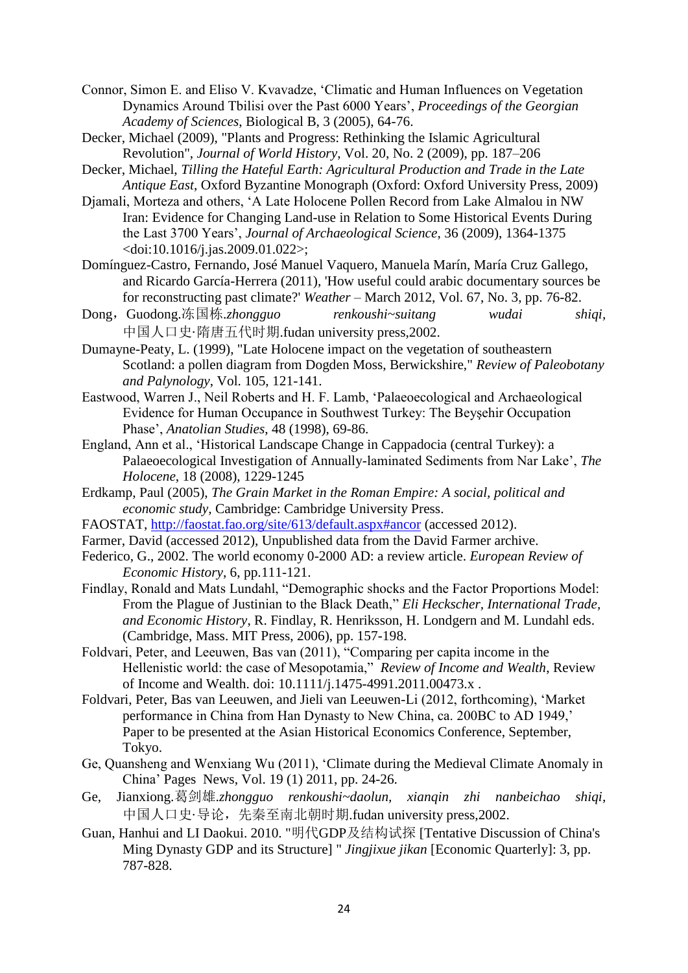- Connor, Simon E. and Eliso V. Kvavadze, 'Climatic and Human Influences on Vegetation Dynamics Around Tbilisi over the Past 6000 Years', *Proceedings of the Georgian Academy of Sciences*, Biological B, 3 (2005), 64-76.
- Decker, Michael (2009), "Plants and Progress: Rethinking the Islamic Agricultural Revolution", *Journal of World History*, Vol. 20, No. 2 (2009), pp. 187–206
- Decker, Michael, *Tilling the Hateful Earth: Agricultural Production and Trade in the Late Antique East*, Oxford Byzantine Monograph (Oxford: Oxford University Press, 2009)
- Djamali, Morteza and others, 'A Late Holocene Pollen Record from Lake Almalou in NW Iran: Evidence for Changing Land-use in Relation to Some Historical Events During the Last 3700 Years', *Journal of Archaeological Science*, 36 (2009), 1364-1375 <doi:10.1016/j.jas.2009.01.022>;
- Domínguez-Castro, Fernando, José Manuel Vaquero, Manuela Marín, María Cruz Gallego, and Ricardo García-Herrera (2011), 'How useful could arabic documentary sources be for reconstructing past climate?' *Weather* – March 2012, Vol. 67, No. 3, pp. 76-82.
- Dong,Guodong.冻国栋.*zhongguo renkoushi~suitang wudai shiqi,* 中国人口史·隋唐五代时期.fudan university press,2002.
- Dumayne-Peaty, L. (1999), "Late Holocene impact on the vegetation of southeastern Scotland: a pollen diagram from Dogden Moss, Berwickshire," *Review of Paleobotany and Palynology*, Vol. 105, 121-141.
- Eastwood, Warren J., Neil Roberts and H. F. Lamb, 'Palaeoecological and Archaeological Evidence for Human Occupance in Southwest Turkey: The Beyşehir Occupation Phase', *Anatolian Studies*, 48 (1998), 69-86.
- England, Ann et al., 'Historical Landscape Change in Cappadocia (central Turkey): a Palaeoecological Investigation of Annually-laminated Sediments from Nar Lake', *The Holocene*, 18 (2008), 1229-1245
- Erdkamp, Paul (2005), *The Grain Market in the Roman Empire: A social, political and economic study,* Cambridge: Cambridge University Press.
- FAOSTAT,<http://faostat.fao.org/site/613/default.aspx#ancor> (accessed 2012).
- Farmer, David (accessed 2012), Unpublished data from the David Farmer archive.
- Federico, G., 2002. The world economy 0-2000 AD: a review article. *European Review of Economic History*, 6, pp.111-121.
- Findlay, Ronald and Mats Lundahl, "Demographic shocks and the Factor Proportions Model: From the Plague of Justinian to the Black Death," *Eli Heckscher, International Trade, and Economic History*, R. Findlay, R. Henriksson, H. Londgern and M. Lundahl eds. (Cambridge, Mass. MIT Press, 2006), pp. 157-198.
- Foldvari, Peter, and Leeuwen, Bas van (2011), "Comparing per capita income in the Hellenistic world: the case of Mesopotamia," *Review of Income and Wealth*, Review of Income and Wealth. doi: 10.1111/j.1475-4991.2011.00473.x .
- Foldvari, Peter, Bas van Leeuwen, and Jieli van Leeuwen-Li (2012, forthcoming), 'Market performance in China from Han Dynasty to New China, ca. 200BC to AD 1949,' Paper to be presented at the Asian Historical Economics Conference, September, Tokyo.
- Ge, Quansheng and Wenxiang Wu (2011), 'Climate during the Medieval Climate Anomaly in China' Pages News, Vol. 19 (1) 2011, pp. 24-26.
- Ge, Jianxiong.葛剑雄.*zhongguo renkoushi~daolun, xianqin zhi nanbeichao shiqi,* 中国人口史·导论,先秦至南北朝时期.fudan university press,2002.
- Guan, Hanhui and LI Daokui. 2010. "明代GDP及结构试探 [Tentative Discussion of China's Ming Dynasty GDP and its Structure] " *Jingjixue jikan* [Economic Quarterly]: 3, pp. 787-828.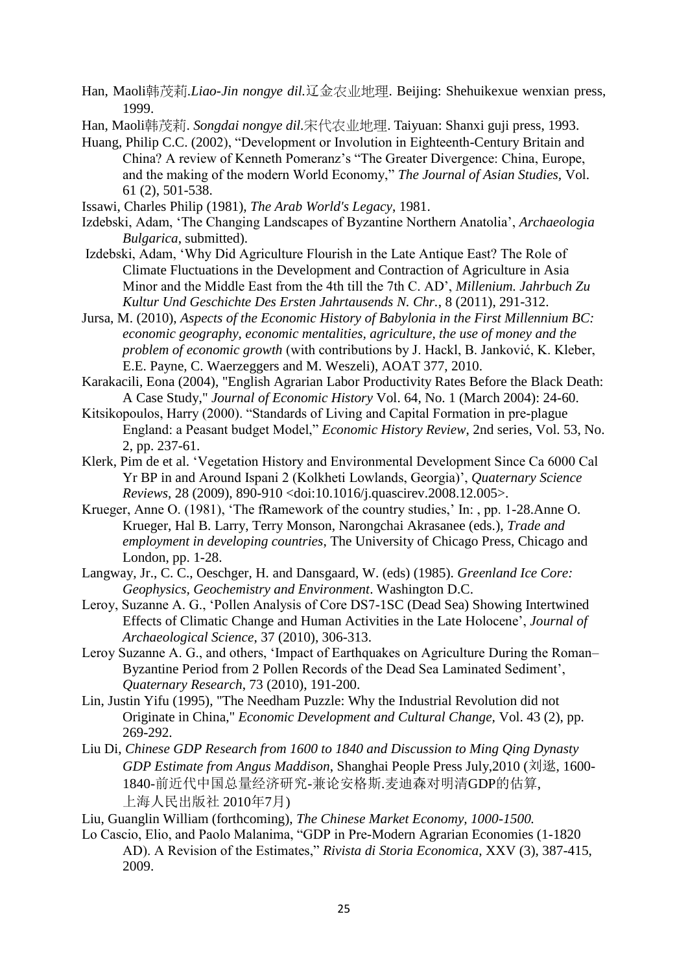- Han, Maoli韩茂莉*.Liao-Jin nongye dil.*辽金农业地理. Beijing: Shehuikexue wenxian press, 1999.
- Han, Maoli韩茂莉. *Songdai nongye dil.*宋代农业地理. Taiyuan: Shanxi guji press, 1993.
- Huang, Philip C.C. (2002), "Development or Involution in Eighteenth-Century Britain and China? A review of Kenneth Pomeranz's "The Greater Divergence: China, Europe, and the making of the modern World Economy," *The Journal of Asian Studies,* Vol. 61 (2), 501-538.
- Issawi, Charles Philip (1981), *The Arab World's Legacy*, 1981.
- Izdebski, Adam, 'The Changing Landscapes of Byzantine Northern Anatolia', *Archaeologia Bulgarica*, submitted).
- Izdebski, Adam, 'Why Did Agriculture Flourish in the Late Antique East? The Role of Climate Fluctuations in the Development and Contraction of Agriculture in Asia Minor and the Middle East from the 4th till the 7th C. AD', *Millenium. Jahrbuch Zu Kultur Und Geschichte Des Ersten Jahrtausends N. Chr.*, 8 (2011), 291-312.
- Jursa, M. (2010), *Aspects of the Economic History of Babylonia in the First Millennium BC: economic geography, economic mentalities, agriculture, the use of money and the problem of economic growth* (with contributions by J. Hackl, B. Janković, K. Kleber, E.E. Payne, C. Waerzeggers and M. Weszeli), AOAT 377, 2010.
- Karakacili, Eona (2004), "English Agrarian Labor Productivity Rates Before the Black Death: A Case Study," *Journal of Economic History* Vol. 64, No. 1 (March 2004): 24-60.
- Kitsikopoulos, Harry (2000). "Standards of Living and Capital Formation in pre-plague England: a Peasant budget Model," *Economic History Review*, 2nd series, Vol. 53, No. 2, pp. 237-61.
- Klerk, Pim de et al. 'Vegetation History and Environmental Development Since Ca 6000 Cal Yr BP in and Around Ispani 2 (Kolkheti Lowlands, Georgia)', *Quaternary Science Reviews*, 28 (2009), 890-910 <doi:10.1016/j.quascirev.2008.12.005>.
- Krueger, Anne O. (1981), 'The fRamework of the country studies,' In: , pp. 1-28.Anne O. Krueger, Hal B. Larry, Terry Monson, Narongchai Akrasanee (eds.), *Trade and employment in developing countries*, The University of Chicago Press, Chicago and London, pp. 1-28.
- Langway, Jr., C. C., Oeschger, H. and Dansgaard, W. (eds) (1985). *Greenland Ice Core: Geophysics, Geochemistry and Environment*. Washington D.C.
- Leroy, Suzanne A. G., 'Pollen Analysis of Core DS7-1SC (Dead Sea) Showing Intertwined Effects of Climatic Change and Human Activities in the Late Holocene', *Journal of Archaeological Science*, 37 (2010), 306-313.
- Leroy Suzanne A. G., and others, 'Impact of Earthquakes on Agriculture During the Roman– Byzantine Period from 2 Pollen Records of the Dead Sea Laminated Sediment', *Quaternary Research*, 73 (2010), 191-200.
- Lin, Justin Yifu (1995), "The Needham Puzzle: Why the Industrial Revolution did not Originate in China," *Economic Development and Cultural Change,* Vol. 43 (2), pp. 269-292.
- Liu Di, *Chinese GDP Research from 1600 to 1840 and Discussion to Ming Qing Dynasty GDP Estimate from Angus Maddison*, Shanghai People Press July,2010 (刘逖, 1600- 1840-前近代中国总量经济研究-兼论安格斯.麦迪森对明清GDP的估算, 上海人民出版社 2010年7月)
- Liu, Guanglin William (forthcoming), *The Chinese Market Economy, 1000-1500.*
- Lo Cascio, Elio, and Paolo Malanima, "GDP in Pre-Modern Agrarian Economies (1-1820 AD). A Revision of the Estimates," *Rivista di Storia Economica*, XXV (3), 387-415, 2009.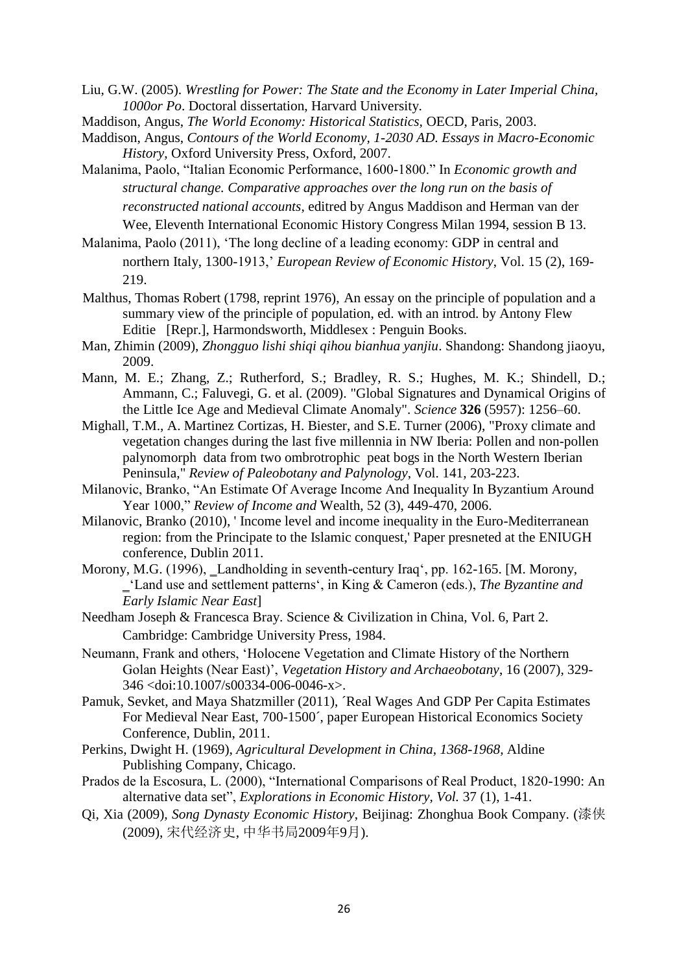Liu, G.W. (2005). *Wrestling for Power: The State and the Economy in Later Imperial China, 1000or Po*. Doctoral dissertation, Harvard University.

- Maddison, Angus, *Contours of the World Economy, 1-2030 AD. Essays in Macro-Economic History*, Oxford University Press, Oxford, 2007.
- Malanima, Paolo, "Italian Economic Performance, 1600-1800." In *Economic growth and structural change. Comparative approaches over the long run on the basis of reconstructed national accounts*, editred by Angus Maddison and Herman van der Wee, Eleventh International Economic History Congress Milan 1994, session B 13.
- Malanima, Paolo (2011), 'The long decline of a leading economy: GDP in central and northern Italy, 1300-1913,' *European Review of Economic History*, Vol. 15 (2), 169- 219.
- Malthus, Thomas Robert (1798, reprint 1976), An essay on the principle of population and a summary view of the principle of population, ed. with an introd. by Antony Flew Editie [Repr.], Harmondsworth, Middlesex : Penguin Books.
- Man, Zhimin (2009), *Zhongguo lishi shiqi qihou bianhua yanjiu*. Shandong: Shandong jiaoyu, 2009.
- Mann, M. E.; Zhang, Z.; Rutherford, S.; Bradley, R. S.; Hughes, M. K.; Shindell, D.; Ammann, C.; Faluvegi, G. et al. (2009). "Global Signatures and Dynamical Origins of the Little Ice Age and Medieval Climate Anomaly". *Science* **326** (5957): 1256–60.
- Mighall, T.M., A. Martinez Cortizas, H. Biester, and S.E. Turner (2006), "Proxy climate and vegetation changes during the last five millennia in NW Iberia: Pollen and non-pollen palynomorph data from two ombrotrophic peat bogs in the North Western Iberian Peninsula," *Review of Paleobotany and Palynology*, Vol. 141, 203-223.
- Milanovic, Branko, "An Estimate Of Average Income And Inequality In Byzantium Around Year 1000," *Review of Income and* Wealth, 52 (3), 449-470, 2006.
- Milanovic, Branko (2010), ' Income level and income inequality in the Euro-Mediterranean region: from the Principate to the Islamic conquest,' Paper presneted at the ENIUGH conference, Dublin 2011.
- Morony, M.G. (1996), Landholding in seventh-century Iraq', pp. 162-165. [M. Morony, ‗'Land use and settlement patterns', in King & Cameron (eds.), *The Byzantine and Early Islamic Near East*]
- Needham Joseph & Francesca Bray. Science & Civilization in China, Vol. 6, Part 2. Cambridge: Cambridge University Press, 1984.
- Neumann, Frank and others, 'Holocene Vegetation and Climate History of the Northern Golan Heights (Near East)', *Vegetation History and Archaeobotany*, 16 (2007), 329- 346 <doi:10.1007/s00334-006-0046-x>.
- Pamuk, Sevket, and Maya Shatzmiller (2011), ´Real Wages And GDP Per Capita Estimates For Medieval Near East, 700-1500´, paper European Historical Economics Society Conference, Dublin, 2011.
- Perkins, Dwight H. (1969), *Agricultural Development in China, 1368-1968,* Aldine Publishing Company, Chicago.
- Prados de la Escosura, L. (2000), "International Comparisons of Real Product, 1820-1990: An alternative data set", *Explorations in Economic History, Vol.* 37 (1), 1-41.
- Qi, Xia (2009), *Song Dynasty Economic History*, Beijinag: Zhonghua Book Company. (漆侠 (2009), 宋代经济史, 中华书局2009年9月).

Maddison, Angus, *The World Economy: Historical Statistics,* OECD, Paris, 2003.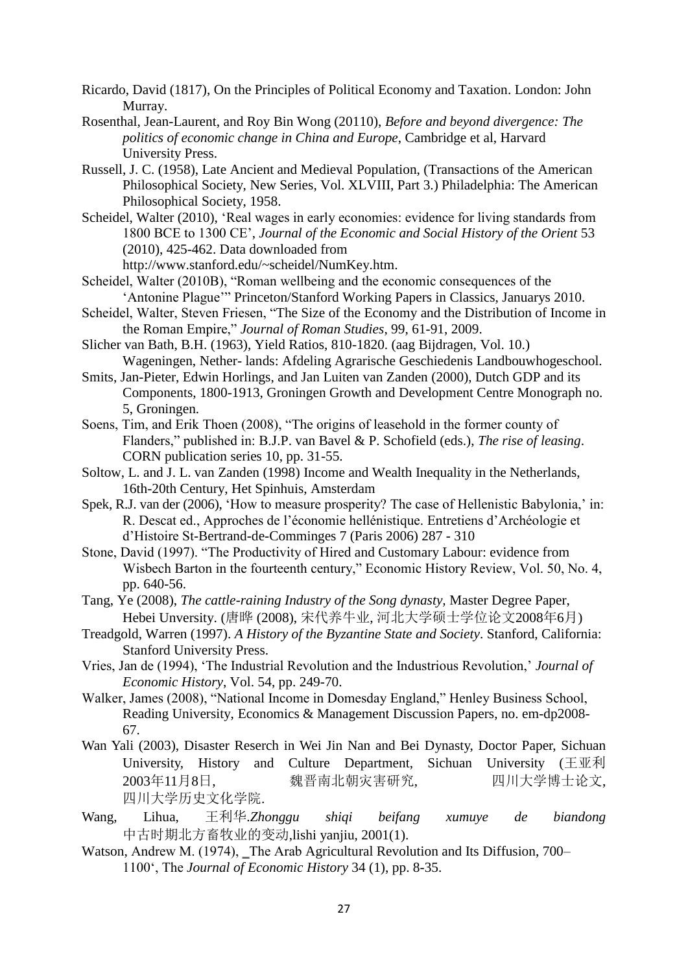- Ricardo, David (1817), On the Principles of Political Economy and Taxation. London: John Murray.
- Rosenthal, Jean-Laurent, and Roy Bin Wong (20110), *Before and beyond divergence: The politics of economic change in China and Europe*, Cambridge et al, Harvard University Press.
- Russell, J. C. (1958), Late Ancient and Medieval Population, (Transactions of the American Philosophical Society, New Series, Vol. XLVIII, Part 3.) Philadelphia: The American Philosophical Society, 1958.
- Scheidel, Walter (2010), 'Real wages in early economies: evidence for living standards from 1800 BCE to 1300 CE', *Journal of the Economic and Social History of the Orient* 53 (2010), 425-462. Data downloaded from http://www.stanford.edu/~scheidel/NumKey.htm.
- Scheidel, Walter (2010B), "Roman wellbeing and the economic consequences of the 'Antonine Plague'" Princeton/Stanford Working Papers in Classics, Januarys 2010.
- Scheidel, Walter, Steven Friesen, "The Size of the Economy and the Distribution of Income in the Roman Empire," *Journal of Roman Studies*, 99, 61-91, 2009.
- Slicher van Bath, B.H. (1963), Yield Ratios, 810-1820. (aag Bijdragen, Vol. 10.) Wageningen, Nether- lands: Afdeling Agrarische Geschiedenis Landbouwhogeschool.
- Smits, Jan-Pieter, Edwin Horlings, and Jan Luiten van Zanden (2000), Dutch GDP and its Components, 1800-1913, Groningen Growth and Development Centre Monograph no. 5, Groningen.
- Soens, Tim, and Erik Thoen (2008), "The origins of leasehold in the former county of Flanders," published in: B.J.P. van Bavel & P. Schofield (eds.), *The rise of leasing*. CORN publication series 10, pp. 31-55.
- Soltow, L. and J. L. van Zanden (1998) Income and Wealth Inequality in the Netherlands, 16th-20th Century, Het Spinhuis, Amsterdam
- Spek, R.J. van der (2006), 'How to measure prosperity? The case of Hellenistic Babylonia,' in: R. Descat ed., Approches de l'économie hellénistique. Entretiens d'Archéologie et d'Histoire St-Bertrand-de-Comminges 7 (Paris 2006) 287 - 310
- Stone, David (1997). "The Productivity of Hired and Customary Labour: evidence from Wisbech Barton in the fourteenth century," Economic History Review, Vol. 50, No. 4, pp. 640-56.
- Tang, Ye (2008), *The cattle-raining Industry of the Song dynasty,* Master Degree Paper, Hebei Unversity. (唐晔 (2008), 宋代养牛业, 河北大学硕士学位论文2008年6月)
- Treadgold, Warren (1997). *A History of the Byzantine State and Society*. Stanford, California: Stanford University Press.
- Vries, Jan de (1994), 'The Industrial Revolution and the Industrious Revolution,' *Journal of Economic History*, Vol. 54, pp. 249-70.
- Walker, James (2008), "National Income in Domesday England," Henley Business School, Reading University, Economics & Management Discussion Papers, no. em-dp2008- 67.
- Wan Yali (2003), Disaster Reserch in Wei Jin Nan and Bei Dynasty, Doctor Paper, Sichuan University, History and Culture Department, Sichuan University (王亚利 2003年11月8日, 魏晋南北朝灾害研究, 四川大学博士论文, 四川大学历史文化学院.
- Wang, Lihua, 王利华.*Zhonggu shiqi beifang xumuye de biandong*  中古时期北方畜牧业的变动,lishi yanjiu, 2001(1).
- Watson, Andrew M. (1974), The Arab Agricultural Revolution and Its Diffusion, 700– 1100', The *Journal of Economic History* 34 (1), pp. 8-35.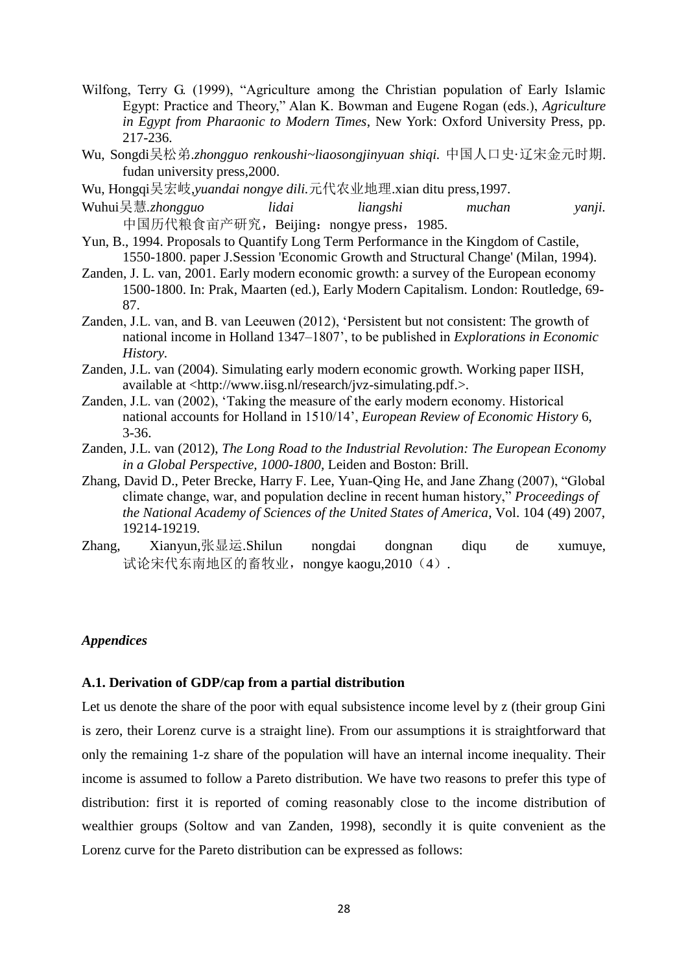- Wilfong, Terry G. (1999), "Agriculture among the Christian population of Early Islamic Egypt: Practice and Theory," Alan K. Bowman and Eugene Rogan (eds.), *Agriculture in Egypt from Pharaonic to Modern Times*, New York: Oxford University Press, pp. 217-236.
- Wu, Songdi吴松弟.*zhongguo renkoushi~liaosongjinyuan shiqi.* 中国人口史·辽宋金元时期. fudan university press,2000.
- Wu, Hongqi吴宏岐,*yuandai nongye dili.*元代农业地理.xian ditu press,1997.
- Wuhui吴慧*.zhongguo lidai liangshi muchan yanji.* 中国历代粮食亩产研究, Beijing: nongye press, 1985.
- Yun, B., 1994. Proposals to Quantify Long Term Performance in the Kingdom of Castile, 1550-1800. paper J.Session 'Economic Growth and Structural Change' (Milan, 1994).
- Zanden, J. L. van, 2001. Early modern economic growth: a survey of the European economy 1500-1800. In: Prak, Maarten (ed.), Early Modern Capitalism*.* London: Routledge, 69- 87.
- Zanden, J.L. van, and B. van Leeuwen (2012), 'Persistent but not consistent: The growth of national income in Holland 1347–1807', to be published in *Explorations in Economic History.*
- Zanden, J.L. van (2004). Simulating early modern economic growth. Working paper IISH, available at <http://www.iisg.nl/research/jvz-simulating.pdf.>.
- Zanden, J.L. van (2002), 'Taking the measure of the early modern economy. Historical national accounts for Holland in 1510/14', *European Review of Economic History* 6, 3-36.
- Zanden, J.L. van (2012), *The Long Road to the Industrial Revolution: The European Economy in a Global Perspective, 1000-1800,* Leiden and Boston: Brill.
- Zhang, David D., Peter Brecke, Harry F. Lee, Yuan-Qing He, and Jane Zhang (2007), "Global climate change, war, and population decline in recent human history," *Proceedings of the National Academy of Sciences of the United States of America*, Vol. 104 (49) 2007, 19214-19219.
- Zhang, Xianyun,张显运.Shilun nongdai dongnan diqu de xumuye, 试论宋代东南地区的畜牧业,nongye kaogu,2010 (4).

### *Appendices*

### **A.1. Derivation of GDP/cap from a partial distribution**

Let us denote the share of the poor with equal subsistence income level by z (their group Gini is zero, their Lorenz curve is a straight line). From our assumptions it is straightforward that only the remaining 1-z share of the population will have an internal income inequality. Their income is assumed to follow a Pareto distribution. We have two reasons to prefer this type of distribution: first it is reported of coming reasonably close to the income distribution of wealthier groups (Soltow and van Zanden, 1998), secondly it is quite convenient as the Lorenz curve for the Pareto distribution can be expressed as follows: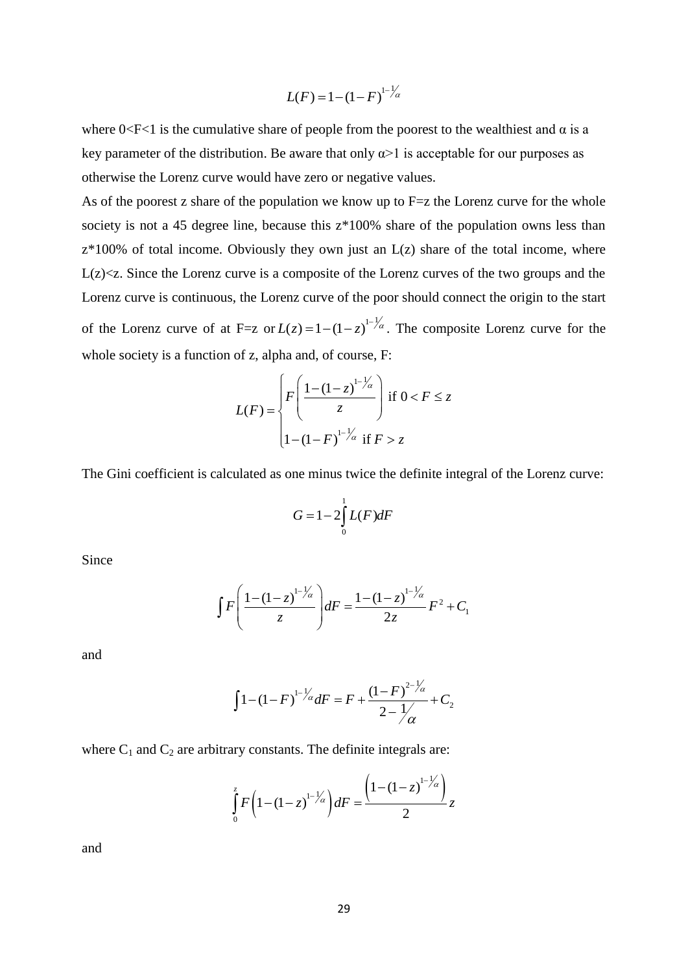$$
L(F) = 1 - (1 - F)^{1 - \frac{1}{\alpha}}
$$

where  $0 < F < 1$  is the cumulative share of people from the poorest to the wealthiest and  $\alpha$  is a key parameter of the distribution. Be aware that only  $\alpha$  is acceptable for our purposes as otherwise the Lorenz curve would have zero or negative values.

 $-(1 - F)^{1-1}$ <br>
e from the<br>
at only  $\alpha$ ><br>
r negative<br>
know up<br>
z\*100% sk<br>
n just an I<br>
b of the Lo<br>
of the poo<br>  $1-z$ <br>  $1-z$ <br>  $\alpha$ <br>  $1-z$ <br>  $\alpha$ <br>  $1-z$ <br>  $\alpha$ <br>  $1-z$ <br>  $\alpha$ <br>  $1-z$ <br>  $\alpha$ <br>  $1-z$ <br>  $\alpha$ <br>  $1-z$ <br>  $\alpha$ <br>  $1-z$ <br>  $\alpha$ <br>  $1-z$ <br>  $\$ As of the poorest z share of the population we know up to  $F=z$  the Lorenz curve for the whole society is not a 45 degree line, because this  $z*100%$  share of the population owns less than  $z*100\%$  of total income. Obviously they own just an  $L(z)$  share of the total income, where  $L(z) \le z$ . Since the Lorenz curve is a composite of the Lorenz curves of the two groups and the Lorenz curve is continuous, the Lorenz curve of the poor should connect the origin to the start of the Lorenz curve of at F=z or  $L(z) = 1 - (1 - z)^{1 - \frac{1}{z}}$ . The composite Lorenz curve for the whole society is a function of z, alpha and, of course, F:

$$
L(F) = \begin{cases} F\left(\frac{1 - (1 - z)^{1 - \frac{1}{\alpha}}}{z}\right) & \text{if } 0 < F \leq z \\ 1 - (1 - F)^{1 - \frac{1}{\alpha}} & \text{if } F > z \end{cases}
$$

The Gini coefficient is calculated as one minus twice the definite integral of the Lorenz curve:

$$
G=1-2\int_{0}^{1}L(F)dF
$$

Since

$$
\int F\left(\frac{1-(1-z)^{1-\frac{1}{\alpha}}}{z}\right)dF = \frac{1-(1-z)^{1-\frac{1}{\alpha}}}{2z}F^2 + C_1
$$

and

$$
\int 1 - (1 - F)^{1 - \frac{1}{\alpha}} dF = F + \frac{(1 - F)^{2 - \frac{1}{\alpha}}}{2 - \frac{1}{\alpha}} + C_2
$$

where  $C_1$  and  $C_2$  are arbitrary constants. The definite integrals are:

$$
\int_{0}^{z} F\left(1 - (1 - z)^{1 - \frac{1}{\alpha}}\right) dF = \frac{\left(1 - (1 - z)^{1 - \frac{1}{\alpha}}\right)}{2} z
$$

and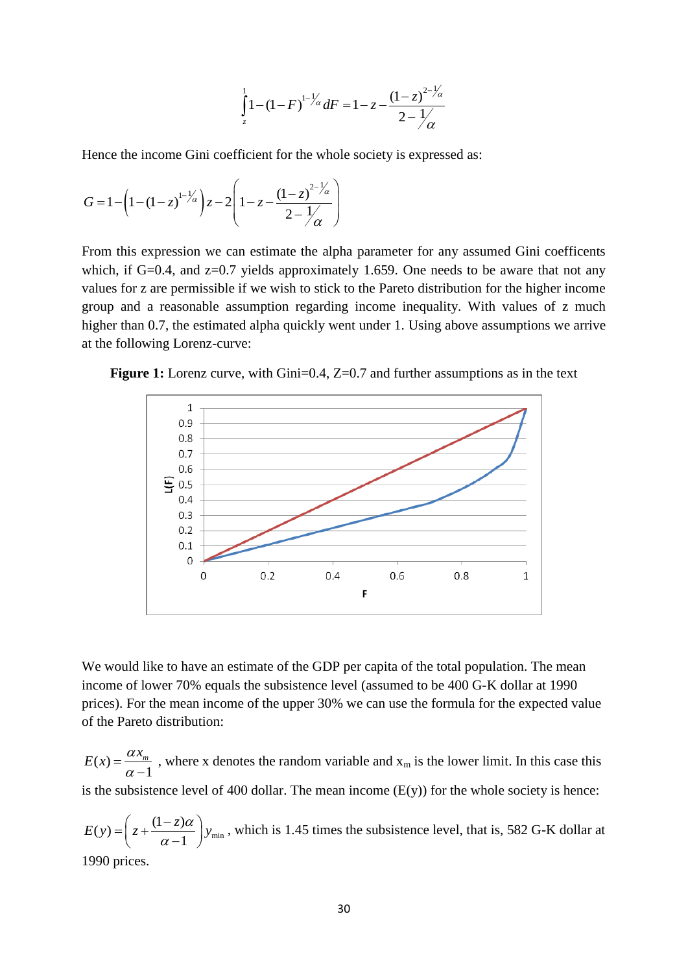$$
\int_{z}^{1} 1 - (1 - F)^{1 - \frac{1}{\alpha}} dF = 1 - z - \frac{(1 - z)^{2 - \frac{1}{\alpha}}}{2 - \frac{1}{\alpha}}
$$

Hence the income Gini coefficient for the whole society is expressed as:<br> $\left(1 - z\right)^{1 - 1/z} \left(1 - z\right)^{2 - 1/z}$ 

$$
G = 1 - \left(1 - (1 - z)^{1 - \frac{1}{\alpha}}\right)z - 2\left(1 - z - \frac{(1 - z)^{2 - \frac{1}{\alpha}}}{2 - \frac{1}{\alpha}}\right)
$$

From this expression we can estimate the alpha parameter for any assumed Gini coefficents which, if G=0.4, and z=0.7 yields approximately 1.659. One needs to be aware that not any values for z are permissible if we wish to stick to the Pareto distribution for the higher income group and a reasonable assumption regarding income inequality. With values of z much higher than 0.7, the estimated alpha quickly went under 1. Using above assumptions we arrive at the following Lorenz-curve:





We would like to have an estimate of the GDP per capita of the total population. The mean income of lower 70% equals the subsistence level (assumed to be 400 G-K dollar at 1990 prices). For the mean income of the upper 30% we can use the formula for the expected value of the Pareto distribution:

 $(x)$ 1  $E(x) = \frac{\alpha x_m}{\alpha - 1}$  $\overline{a}$ , where x denotes the random variable and  $x_m$  is the lower limit. In this case this is the subsistence level of 400 dollar. The mean income  $(E(y))$  for the whole society is hence:

 $(y) = \left( z + \frac{(1-z)\alpha}{\alpha - 1} \right) y_{\min}$  $E(y) = \left( z + \frac{(1-z)\alpha}{\alpha - 1} \right) y$  $=\left(z+\frac{(1-z)\alpha}{\alpha-1}\right)y_{\text{min}}$ , which is 1.45 times the subsistence level, that is, 582 G-K dollar at 1990 prices.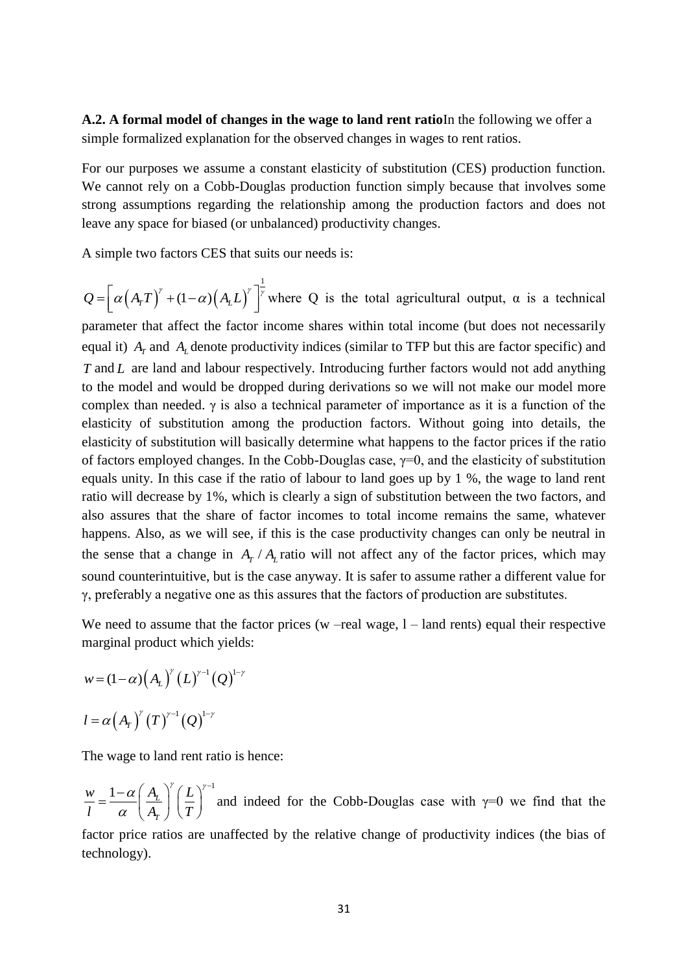**A.2. A formal model of changes in the wage to land rent ratio**In the following we offer a simple formalized explanation for the observed changes in wages to rent ratios.

For our purposes we assume a constant elasticity of substitution (CES) production function. We cannot rely on a Cobb-Douglas production function simply because that involves some strong assumptions regarding the relationship among the production factors and does not leave any space for biased (or unbalanced) productivity changes.

A simple two factors CES that suits our needs is:

$$
Q = \left[\alpha \left(A_T T\right)^{\gamma} + (1 - \alpha) \left(A_L L\right)^{\gamma}\right]^{\frac{1}{\gamma}}
$$
 where Q is the total agricultural output,  $\alpha$  is a technical parameter that affect the factor income shares within total income (but does not necessarily equal it)  $A_T$  and  $A_L$  denote productivity indices (similar to TFP but this are factor specific) and T and L are land and labour respectively. Introducing further factors would not add anything to the model and would be dropped during derivations so we will not make our model more complex than needed.  $\gamma$  is also a technical parameter of importance as it is a function of the elasticity of substitution among the production factors. Without going into details, the elasticity of substitution will basically determine what happens to the factor prices if the ratio of factors employed changes. In the Cobb-Douglas case,  $\gamma=0$ , and the elasticity of substitution equals unity. In this case if the ratio of labour to land goes up by 1%, the wage to land rent ratio will decrease by 1%, which is clearly a sign of substitution between the two factors, and

also assures that the share of factor incomes to total income remains the same, whatever happens. Also, as we will see, if this is the case productivity changes can only be neutral in the sense that a change in  $A_T / A_L$  ratio will not affect any of the factor prices, which may sound counterintuitive, but is the case anyway. It is safer to assume rather a different value for γ, preferably a negative one as this assures that the factors of production are substitutes.

We need to assume that the factor prices (w –real wage,  $1$  – land rents) equal their respective marginal product which yields:

$$
w = (1 - \alpha) (A_L)^{r} (L)^{r-1} (Q)^{1-r}
$$
  

$$
l = \alpha (A_T)^{r} (T)^{r-1} (Q)^{1-r}
$$

The wage to land rent ratio is hence:

 $1-\alpha\left(A_L\right)^{\gamma}\left(L\right)^{\gamma-1}$ *T*  $w_1 - 1 - \alpha \left(A_L\right)^{\gamma} \left(L\right)$  $\overline{l} = \overline{\alpha} \left( \overline{A_{T}} \right) \left( \overline{T} \right)$  $\alpha(A, \gamma^{\gamma}(L)^{\gamma})$  $\alpha$  $-\alpha\left(A_L\right)^{\gamma}\left(L\right)^{\gamma-1}$ .  $=\frac{1-\alpha}{\alpha}\left(\frac{A_L}{A_T}\right)\left(\frac{L}{T}\right)$  and indeed for the Cobb-Douglas case with  $\gamma=0$  we find that the

factor price ratios are unaffected by the relative change of productivity indices (the bias of technology).